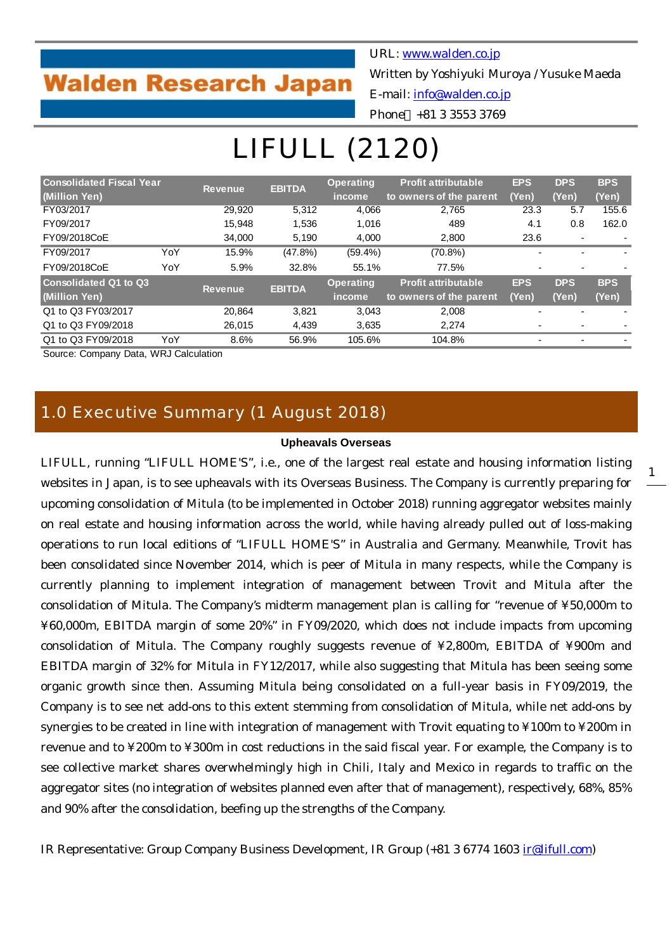## **Walden Research Japan**

URL: [www.walden.co.jp](http://www.walden.co.jp/)

Written by Yoshiyuki Muroya / Yusuke Maeda

E-mail: [info@walden.co.jp](mailto:info@walden.co.jp)

Phone +81 3 3553 3769

# LIFULL (2120)

| <b>Consolidated Fiscal Year</b> |     | <b>Revenue</b> | <b>EBITDA</b> | <b>Operating</b> | <b>Profit attributable</b> | <b>EPS</b>     | <b>DPS</b> | <b>BPS</b> |
|---------------------------------|-----|----------------|---------------|------------------|----------------------------|----------------|------------|------------|
| (Million Yen)                   |     |                |               | income           | to owners of the parent    | (Yen)          | (Yen)      | (Yen)      |
| FY03/2017                       |     | 29,920         | 5.312         | 4,066            | 2.765                      | 23.3           | 5.7        | 155.6      |
| FY09/2017                       |     | 15.948         | 1,536         | 1,016            | 489                        | 4.1            | 0.8        | 162.0      |
| FY09/2018CoE                    |     | 34,000         | 5,190         | 4,000            | 2,800                      | 23.6           | -          |            |
| FY09/2017                       | YoY | 15.9%          | $(47.8\%)$    | $(59.4\%)$       | $(70.8\%)$                 |                |            |            |
| FY09/2018CoE                    | YoY | 5.9%           | 32.8%         | 55.1%            | 77.5%                      | $\blacksquare$ |            |            |
| <b>Consolidated Q1 to Q3</b>    |     | Revenue        | <b>EBITDA</b> | <b>Operating</b> | <b>Profit attributable</b> | <b>EPS</b>     | <b>DPS</b> | <b>BPS</b> |
| (Million Yen)                   |     |                |               | income           | to owners of the parent    | (Yen)          | (Yen)      | (Yen)      |
| Q1 to Q3 FY03/2017              |     | 20.864         | 3,821         | 3,043            | 2,008                      |                |            |            |
| Q1 to Q3 FY09/2018              |     | 26.015         | 4.439         | 3,635            | 2.274                      |                |            |            |
| Q1 to Q3 FY09/2018              | YoY | 8.6%           | 56.9%         | 105.6%           | 104.8%                     |                |            |            |

Source: Company Data, WRJ Calculation

## 1.0 Executive Summary (1 August 2018)

#### **Upheavals Overseas**

LIFULL, running "LIFULL HOME'S", i.e., one of the largest real estate and housing information listing websites in Japan, is to see upheavals with its Overseas Business. The Company is currently preparing for upcoming consolidation of Mitula (to be implemented in October 2018) running aggregator websites mainly on real estate and housing information across the world, while having already pulled out of loss-making operations to run local editions of "LIFULL HOME'S" in Australia and Germany. Meanwhile, Trovit has been consolidated since November 2014, which is peer of Mitula in many respects, while the Company is currently planning to implement integration of management between Trovit and Mitula after the consolidation of Mitula. The Company's midterm management plan is calling for "revenue of ¥50,000m to ¥60,000m, EBITDA margin of some 20%" in FY09/2020, which does not include impacts from upcoming consolidation of Mitula. The Company roughly suggests revenue of ¥2,800m, EBITDA of ¥900m and EBITDA margin of 32% for Mitula in FY12/2017, while also suggesting that Mitula has been seeing some organic growth since then. Assuming Mitula being consolidated on a full-year basis in FY09/2019, the Company is to see net add-ons to this extent stemming from consolidation of Mitula, while net add-ons by synergies to be created in line with integration of management with Trovit equating to ¥100m to ¥200m in revenue and to ¥200m to ¥300m in cost reductions in the said fiscal year. For example, the Company is to see collective market shares overwhelmingly high in Chili, Italy and Mexico in regards to traffic on the aggregator sites (no integration of websites planned even after that of management), respectively, 68%, 85% and 90% after the consolidation, beefing up the strengths of the Company.

IR Representative: Group Company Business Development, IR Group (+81 3 6774 1603 [ir@lifull.com\)](mailto:YoshidaKazuhiro@lifull.com)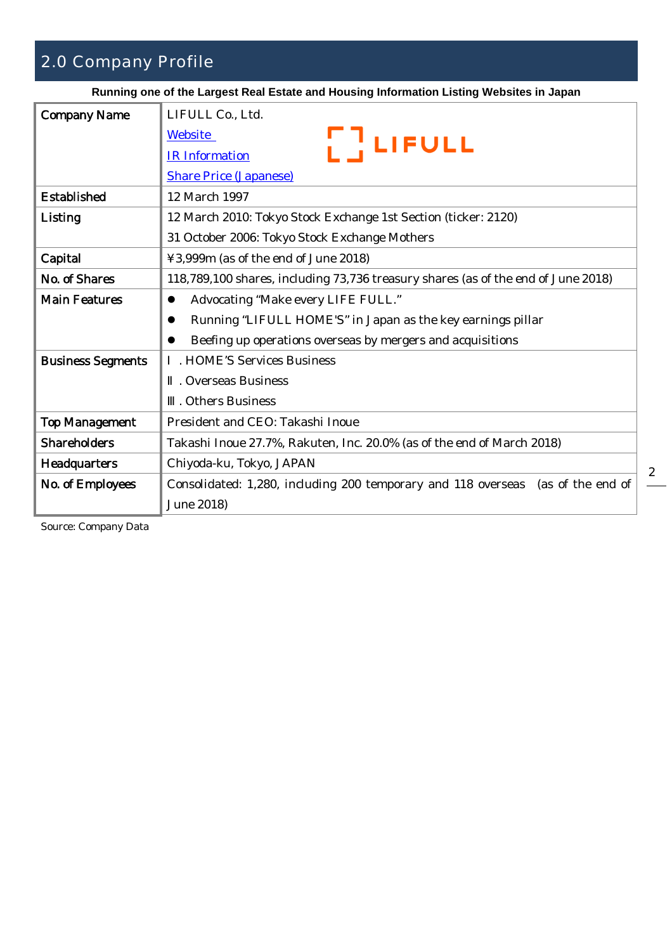## 2.0 Company Profile

**Running one of the Largest Real Estate and Housing Information Listing Websites in Japan**

| <b>Company Name</b>      | LIFULL Co., Ltd.                                                                  |
|--------------------------|-----------------------------------------------------------------------------------|
|                          | Website<br><b>   LIFULL</b>                                                       |
|                          | <b>IR</b> Information                                                             |
|                          | <b>Share Price (Japanese)</b>                                                     |
| <b>Established</b>       | 12 March 1997                                                                     |
| <b>Listing</b>           | 12 March 2010: Tokyo Stock Exchange 1st Section (ticker: 2120)                    |
|                          | 31 October 2006: Tokyo Stock Exchange Mothers                                     |
| Capital                  | ¥3,999m (as of the end of June 2018)                                              |
| No. of Shares            | 118,789,100 shares, including 73,736 treasury shares (as of the end of June 2018) |
| <b>Main Features</b>     | Advocating "Make every LIFE FULL."                                                |
|                          | Running "LIFULL HOME'S" in Japan as the key earnings pillar                       |
|                          | Beefing up operations overseas by mergers and acquisitions                        |
| <b>Business Segments</b> | . HOME'S Services Business                                                        |
|                          | . Overseas Business                                                               |
|                          | . Others Business                                                                 |
| <b>Top Management</b>    | President and CEO: Takashi Inoue                                                  |
| <b>Shareholders</b>      | Takashi Inoue 27.7%, Rakuten, Inc. 20.0% (as of the end of March 2018)            |
| <b>Headquarters</b>      | Chiyoda-ku, Tokyo, JAPAN                                                          |
| No. of Employees         | Consolidated: 1,280, including 200 temporary and 118 overseas (as of the end of   |
|                          | June 2018)                                                                        |

Source: Company Data

2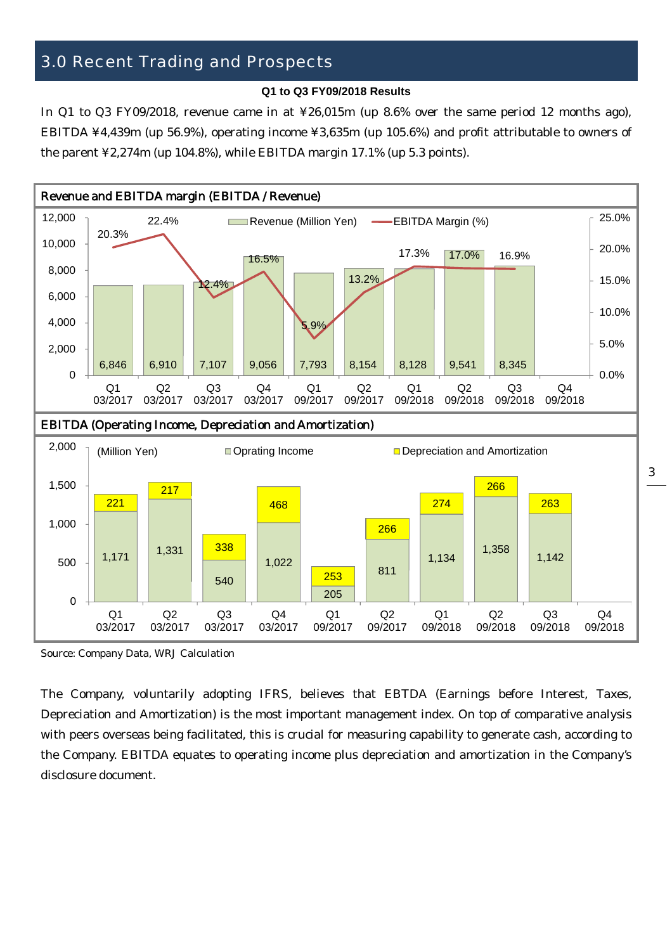## 3.0 Recent Trading and Prospects

#### **Q1 to Q3 FY09/2018 Results**

In Q1 to Q3 FY09/2018, revenue came in at ¥26,015m (up 8.6% over the same period 12 months ago), EBITDA ¥4,439m (up 56.9%), operating income ¥3,635m (up 105.6%) and profit attributable to owners of the parent ¥2,274m (up 104.8%), while EBITDA margin 17.1% (up 5.3 points).



Source: Company Data, WRJ Calculation

The Company, voluntarily adopting IFRS, believes that EBTDA (Earnings before Interest, Taxes, Depreciation and Amortization) is the most important management index. On top of comparative analysis with peers overseas being facilitated, this is crucial for measuring capability to generate cash, according to the Company. EBITDA equates to operating income plus depreciation and amortization in the Company's disclosure document.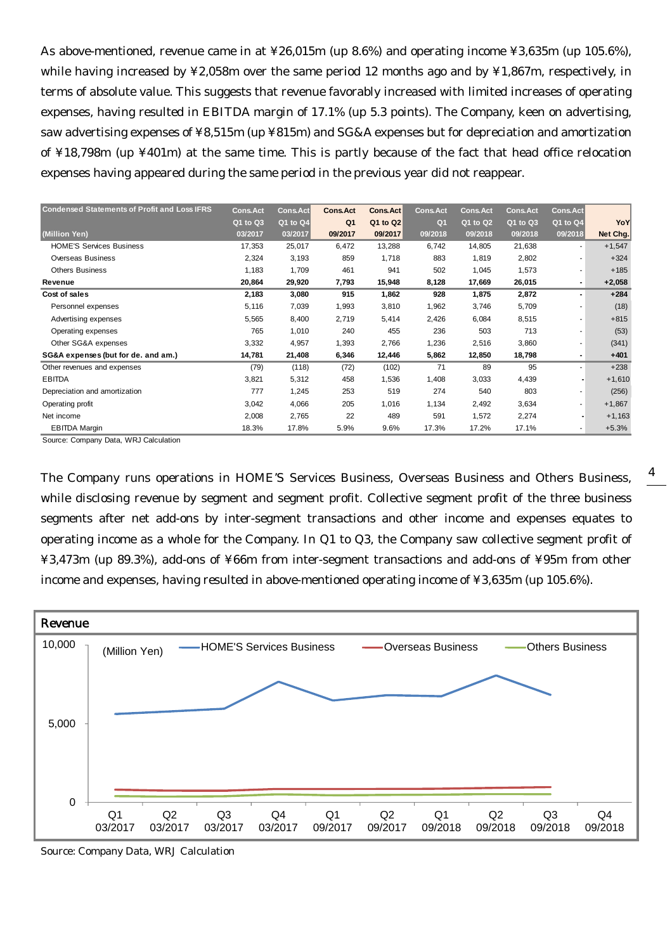As above-mentioned, revenue came in at ¥26,015m (up 8.6%) and operating income ¥3,635m (up 105.6%), while having increased by ¥2,058m over the same period 12 months ago and by ¥1,867m, respectively, in terms of absolute value. This suggests that revenue favorably increased with limited increases of operating expenses, having resulted in EBITDA margin of 17.1% (up 5.3 points). The Company, keen on advertising, saw advertising expenses of ¥8,515m (up ¥815m) and SG&A expenses but for depreciation and amortization of ¥18,798m (up ¥401m) at the same time. This is partly because of the fact that head office relocation expenses having appeared during the same period in the previous year did not reappear.

| <b>Condensed Statements of Profit and Loss IFRS</b> | <b>Cons.Act</b> | <b>Cons.Act</b> | <b>Cons.Act</b> | Cons.Act | <b>Cons.Act</b> | <b>Cons.Act</b> | <b>Cons.Act</b> | <b>Cons.Act</b> |          |
|-----------------------------------------------------|-----------------|-----------------|-----------------|----------|-----------------|-----------------|-----------------|-----------------|----------|
|                                                     | Q1 to Q3        | Q1 to Q4        | Q <sub>1</sub>  | Q1 to Q2 | Q <sub>1</sub>  | Q1 to Q2        | Q1 to Q3        | Q1 to Q4        | YoY      |
| (Million Yen)                                       | 03/2017         | 03/2017         | 09/2017         | 09/2017  | 09/2018         | 09/2018         | 09/2018         | 09/2018         | Net Chg. |
| <b>HOME'S Services Business</b>                     | 17,353          | 25,017          | 6,472           | 13,288   | 6,742           | 14,805          | 21,638          |                 | $+1,547$ |
| Overseas Business                                   | 2,324           | 3,193           | 859             | 1,718    | 883             | 1,819           | 2,802           |                 | $+324$   |
| <b>Others Business</b>                              | 1,183           | 1,709           | 461             | 941      | 502             | 1,045           | 1,573           |                 | $+185$   |
| Revenue                                             | 20,864          | 29,920          | 7,793           | 15,948   | 8,128           | 17,669          | 26,015          |                 | $+2,058$ |
| Cost of sales                                       | 2,183           | 3,080           | 915             | 1,862    | 928             | 1,875           | 2,872           | $\blacksquare$  | $+284$   |
| Personnel expenses                                  | 5,116           | 7,039           | 1,993           | 3,810    | 1,962           | 3,746           | 5,709           | ۰               | (18)     |
| Advertising expenses                                | 5,565           | 8,400           | 2,719           | 5,414    | 2,426           | 6,084           | 8,515           | ۰               | $+815$   |
| Operating expenses                                  | 765             | 1,010           | 240             | 455      | 236             | 503             | 713             | ٠               | (53)     |
| Other SG&A expenses                                 | 3,332           | 4,957           | 1,393           | 2,766    | 1,236           | 2,516           | 3,860           | ٠               | (341)    |
| SG&A expenses (but for de. and am.)                 | 14,781          | 21,408          | 6,346           | 12,446   | 5,862           | 12,850          | 18,798          | ٠               | $+401$   |
| Other revenues and expenses                         | (79)            | (118)           | (72)            | (102)    | 71              | 89              | 95              | ٠               | $+238$   |
| <b>EBITDA</b>                                       | 3,821           | 5,312           | 458             | 1,536    | 1,408           | 3,033           | 4,439           |                 | $+1,610$ |
| Depreciation and amortization                       | 777             | 1,245           | 253             | 519      | 274             | 540             | 803             | ٠               | (256)    |
| Operating profit                                    | 3,042           | 4,066           | 205             | 1,016    | 1,134           | 2,492           | 3,634           |                 | $+1,867$ |
| Net income                                          | 2,008           | 2,765           | 22              | 489      | 591             | 1,572           | 2,274           |                 | $+1,163$ |
| <b>EBITDA Margin</b>                                | 18.3%           | 17.8%           | 5.9%            | 9.6%     | 17.3%           | 17.2%           | 17.1%           |                 | $+5.3%$  |

Source: Company Data, WRJ Calculation

The Company runs operations in HOME'S Services Business, Overseas Business and Others Business, while disclosing revenue by segment and segment profit. Collective segment profit of the three business segments after net add-ons by inter-segment transactions and other income and expenses equates to operating income as a whole for the Company. In Q1 to Q3, the Company saw collective segment profit of ¥3,473m (up 89.3%), add-ons of ¥66m from inter-segment transactions and add-ons of ¥95m from other income and expenses, having resulted in above-mentioned operating income of ¥3,635m (up 105.6%).

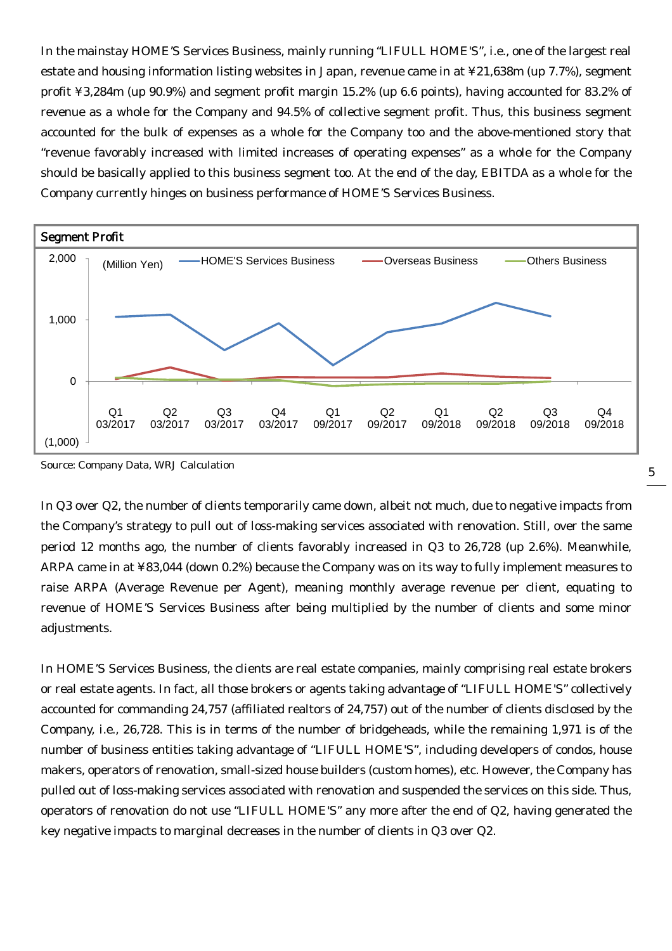In the mainstay HOME'S Services Business, mainly running "LIFULL HOME'S", i.e., one of the largest real estate and housing information listing websites in Japan, revenue came in at ¥21,638m (up 7.7%), segment profit ¥3,284m (up 90.9%) and segment profit margin 15.2% (up 6.6 points), having accounted for 83.2% of revenue as a whole for the Company and 94.5% of collective segment profit. Thus, this business segment accounted for the bulk of expenses as a whole for the Company too and the above-mentioned story that "revenue favorably increased with limited increases of operating expenses" as a whole for the Company should be basically applied to this business segment too. At the end of the day, EBITDA as a whole for the Company currently hinges on business performance of HOME'S Services Business.



Source: Company Data, WRJ Calculation

In Q3 over Q2, the number of clients temporarily came down, albeit not much, due to negative impacts from the Company's strategy to pull out of loss-making services associated with renovation. Still, over the same period 12 months ago, the number of clients favorably increased in Q3 to 26,728 (up 2.6%). Meanwhile, ARPA came in at ¥83,044 (down 0.2%) because the Company was on its way to fully implement measures to raise ARPA (Average Revenue per Agent), meaning monthly average revenue per client, equating to revenue of HOME'S Services Business after being multiplied by the number of clients and some minor adjustments.

In HOME'S Services Business, the clients are real estate companies, mainly comprising real estate brokers or real estate agents. In fact, all those brokers or agents taking advantage of "LIFULL HOME'S" collectively accounted for commanding 24,757 (affiliated realtors of 24,757) out of the number of clients disclosed by the Company, i.e., 26,728. This is in terms of the number of bridgeheads, while the remaining 1,971 is of the number of business entities taking advantage of "LIFULL HOME'S", including developers of condos, house makers, operators of renovation, small-sized house builders (custom homes), etc. However, the Company has pulled out of loss-making services associated with renovation and suspended the services on this side. Thus, operators of renovation do not use "LIFULL HOME'S" any more after the end of Q2, having generated the key negative impacts to marginal decreases in the number of clients in Q3 over Q2.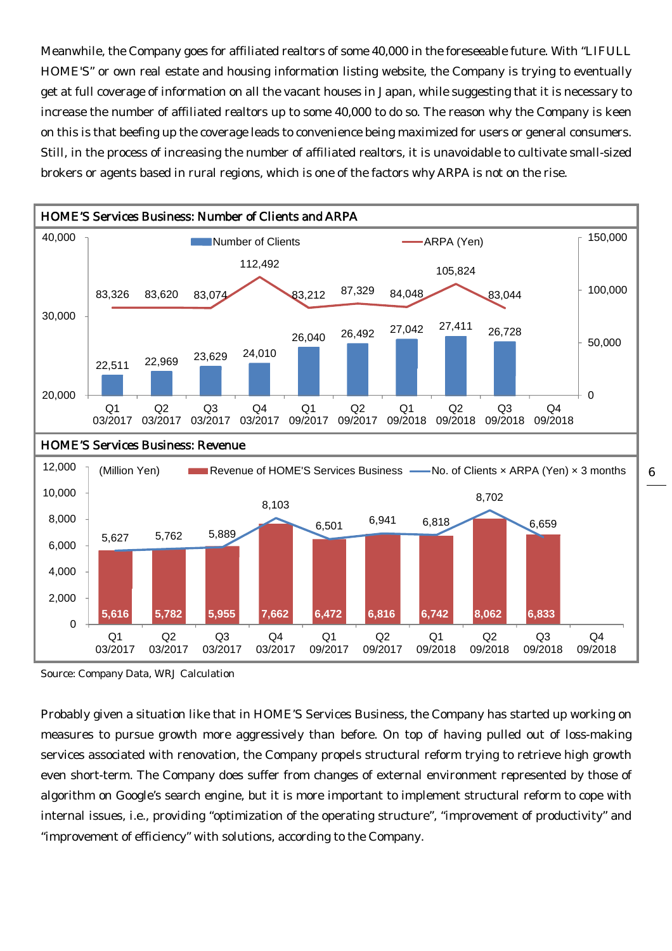Meanwhile, the Company goes for affiliated realtors of some 40,000 in the foreseeable future. With "LIFULL HOME'S" or own real estate and housing information listing website, the Company is trying to eventually get at full coverage of information on all the vacant houses in Japan, while suggesting that it is necessary to increase the number of affiliated realtors up to some 40,000 to do so. The reason why the Company is keen on this is that beefing up the coverage leads to convenience being maximized for users or general consumers. Still, in the process of increasing the number of affiliated realtors, it is unavoidable to cultivate small-sized brokers or agents based in rural regions, which is one of the factors why ARPA is not on the rise.



Source: Company Data, WRJ Calculation

Probably given a situation like that in HOME'S Services Business, the Company has started up working on measures to pursue growth more aggressively than before. On top of having pulled out of loss-making services associated with renovation, the Company propels structural reform trying to retrieve high growth even short-term. The Company does suffer from changes of external environment represented by those of algorithm on Google's search engine, but it is more important to implement structural reform to cope with internal issues, i.e., providing "optimization of the operating structure", "improvement of productivity" and "improvement of efficiency" with solutions, according to the Company.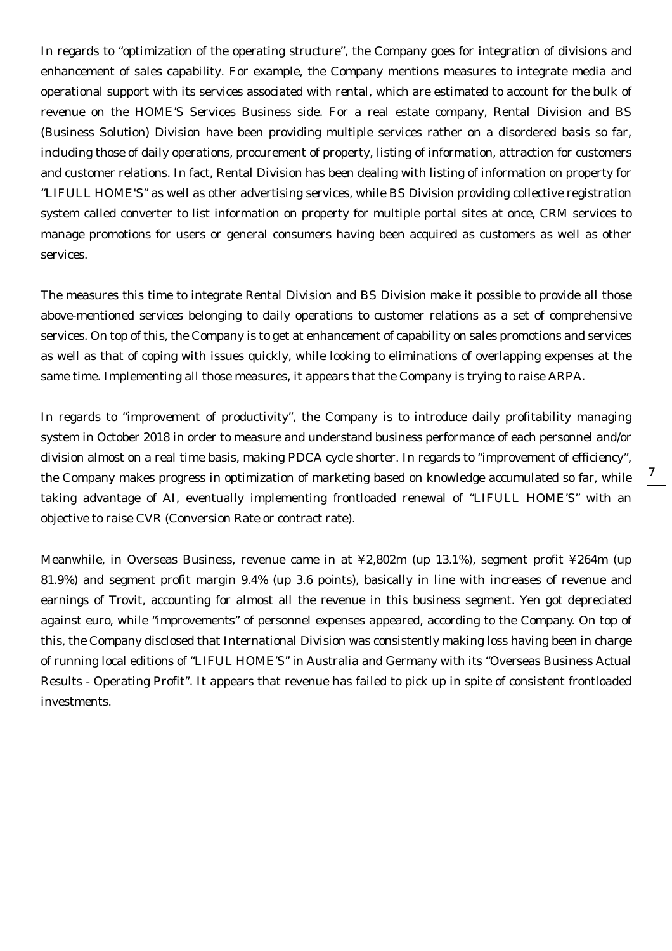In regards to "optimization of the operating structure", the Company goes for integration of divisions and enhancement of sales capability. For example, the Company mentions measures to integrate media and operational support with its services associated with rental, which are estimated to account for the bulk of revenue on the HOME'S Services Business side. For a real estate company, Rental Division and BS (Business Solution) Division have been providing multiple services rather on a disordered basis so far, including those of daily operations, procurement of property, listing of information, attraction for customers and customer relations. In fact, Rental Division has been dealing with listing of information on property for "LIFULL HOME'S" as well as other advertising services, while BS Division providing collective registration system called converter to list information on property for multiple portal sites at once, CRM services to manage promotions for users or general consumers having been acquired as customers as well as other services.

The measures this time to integrate Rental Division and BS Division make it possible to provide all those above-mentioned services belonging to daily operations to customer relations as a set of comprehensive services. On top of this, the Company is to get at enhancement of capability on sales promotions and services as well as that of coping with issues quickly, while looking to eliminations of overlapping expenses at the same time. Implementing all those measures, it appears that the Company is trying to raise ARPA.

In regards to "improvement of productivity", the Company is to introduce daily profitability managing system in October 2018 in order to measure and understand business performance of each personnel and/or division almost on a real time basis, making PDCA cycle shorter. In regards to "improvement of efficiency", the Company makes progress in optimization of marketing based on knowledge accumulated so far, while taking advantage of AI, eventually implementing frontloaded renewal of "LIFULL HOME'S" with an objective to raise CVR (Conversion Rate or contract rate).

Meanwhile, in Overseas Business, revenue came in at ¥2,802m (up 13.1%), segment profit ¥264m (up 81.9%) and segment profit margin 9.4% (up 3.6 points), basically in line with increases of revenue and earnings of Trovit, accounting for almost all the revenue in this business segment. Yen got depreciated against euro, while "improvements" of personnel expenses appeared, according to the Company. On top of this, the Company disclosed that International Division was consistently making loss having been in charge of running local editions of "LIFUL HOME'S" in Australia and Germany with its "Overseas Business Actual Results - Operating Profit". It appears that revenue has failed to pick up in spite of consistent frontloaded investments.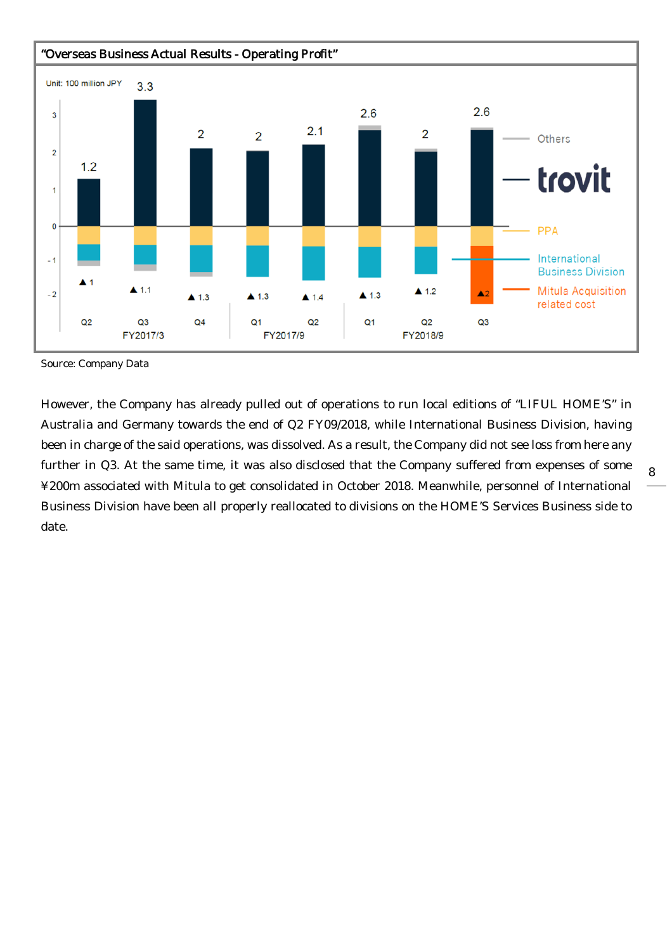

Source: Company Data

However, the Company has already pulled out of operations to run local editions of "LIFUL HOME'S" in Australia and Germany towards the end of Q2 FY09/2018, while International Business Division, having been in charge of the said operations, was dissolved. As a result, the Company did not see loss from here any further in Q3. At the same time, it was also disclosed that the Company suffered from expenses of some ¥200m associated with Mitula to get consolidated in October 2018. Meanwhile, personnel of International Business Division have been all properly reallocated to divisions on the HOME'S Services Business side to date.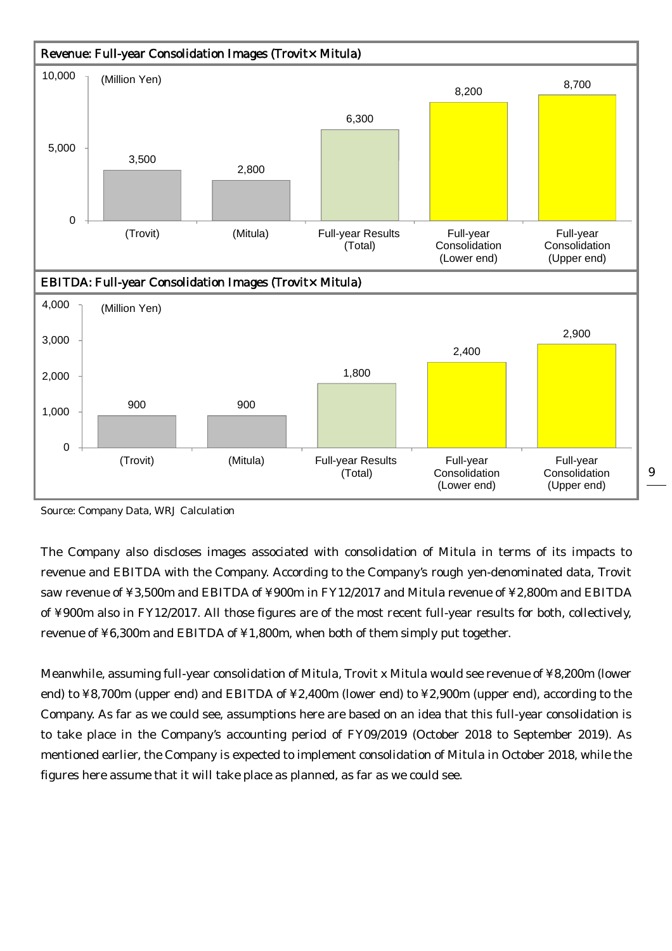

Source: Company Data, WRJ Calculation

The Company also discloses images associated with consolidation of Mitula in terms of its impacts to revenue and EBITDA with the Company. According to the Company's rough yen-denominated data, Trovit saw revenue of ¥3,500m and EBITDA of ¥900m in FY12/2017 and Mitula revenue of ¥2,800m and EBITDA of ¥900m also in FY12/2017. All those figures are of the most recent full-year results for both, collectively, revenue of ¥6,300m and EBITDA of ¥1,800m, when both of them simply put together.

Meanwhile, assuming full-year consolidation of Mitula, Trovit x Mitula would see revenue of ¥8,200m (lower end) to ¥8,700m (upper end) and EBITDA of ¥2,400m (lower end) to ¥2,900m (upper end), according to the Company. As far as we could see, assumptions here are based on an idea that this full-year consolidation is to take place in the Company's accounting period of FY09/2019 (October 2018 to September 2019). As mentioned earlier, the Company is expected to implement consolidation of Mitula in October 2018, while the figures here assume that it will take place as planned, as far as we could see.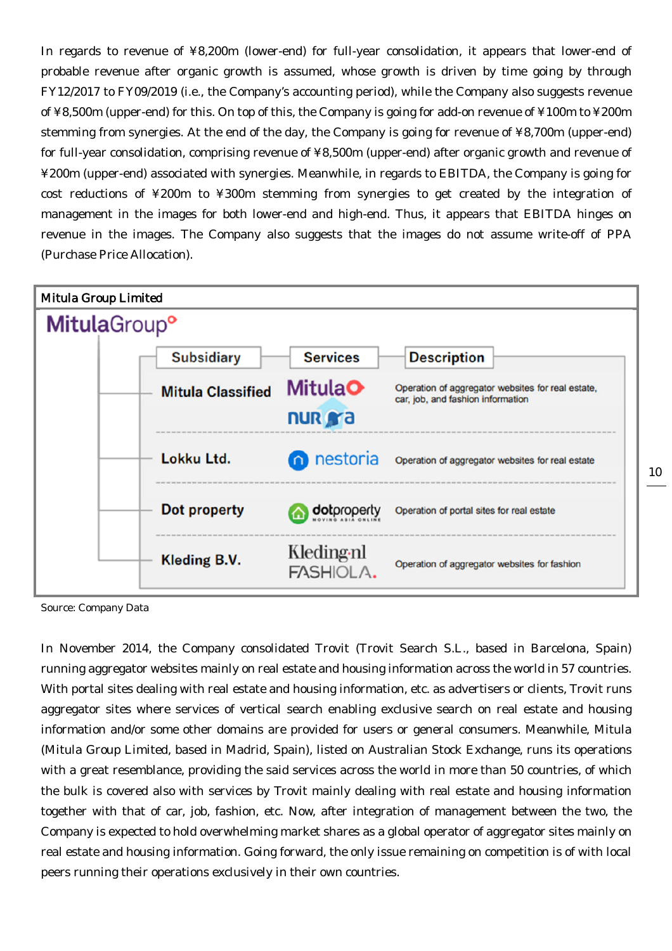In regards to revenue of ¥8,200m (lower-end) for full-year consolidation, it appears that lower-end of probable revenue after organic growth is assumed, whose growth is driven by time going by through FY12/2017 to FY09/2019 (i.e., the Company's accounting period), while the Company also suggests revenue of ¥8,500m (upper-end) for this. On top of this, the Company is going for add-on revenue of ¥100m to ¥200m stemming from synergies. At the end of the day, the Company is going for revenue of ¥8,700m (upper-end) for full-year consolidation, comprising revenue of ¥8,500m (upper-end) after organic growth and revenue of ¥200m (upper-end) associated with synergies. Meanwhile, in regards to EBITDA, the Company is going for cost reductions of ¥200m to ¥300m stemming from synergies to get created by the integration of management in the images for both lower-end and high-end. Thus, it appears that EBITDA hinges on revenue in the images. The Company also suggests that the images do not assume write-off of PPA (Purchase Price Allocation).



Source: Company Data

In November 2014, the Company consolidated Trovit (Trovit Search S.L., based in Barcelona, Spain) running aggregator websites mainly on real estate and housing information across the world in 57 countries. With portal sites dealing with real estate and housing information, etc. as advertisers or clients, Trovit runs aggregator sites where services of vertical search enabling exclusive search on real estate and housing information and/or some other domains are provided for users or general consumers. Meanwhile, Mitula (Mitula Group Limited, based in Madrid, Spain), listed on Australian Stock Exchange, runs its operations with a great resemblance, providing the said services across the world in more than 50 countries, of which the bulk is covered also with services by Trovit mainly dealing with real estate and housing information together with that of car, job, fashion, etc. Now, after integration of management between the two, the Company is expected to hold overwhelming market shares as a global operator of aggregator sites mainly on real estate and housing information. Going forward, the only issue remaining on competition is of with local peers running their operations exclusively in their own countries.

10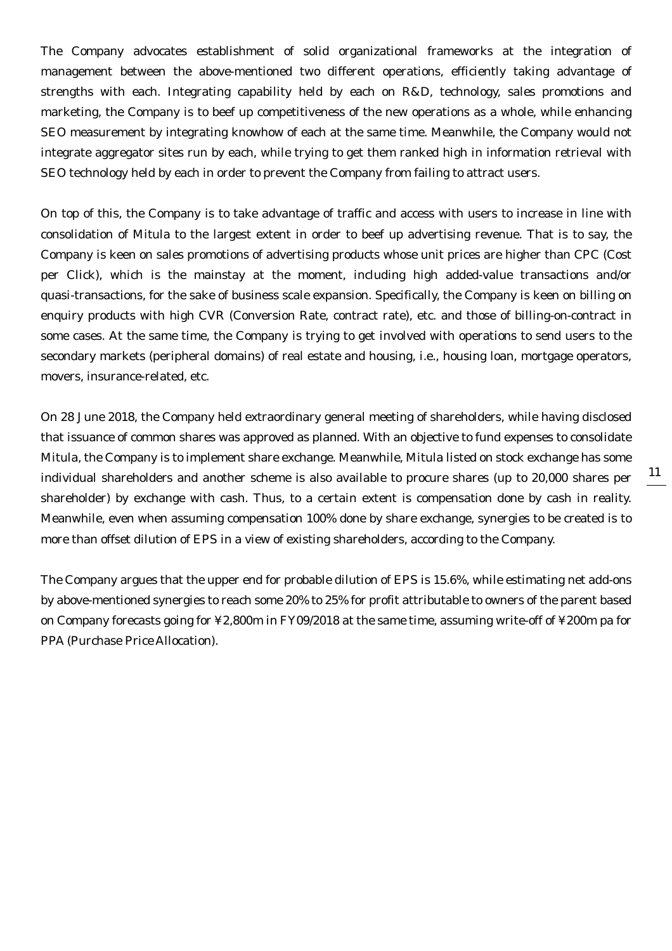The Company advocates establishment of solid organizational frameworks at the integration of management between the above-mentioned two different operations, efficiently taking advantage of strengths with each. Integrating capability held by each on R&D, technology, sales promotions and marketing, the Company is to beef up competitiveness of the new operations as a whole, while enhancing SEO measurement by integrating knowhow of each at the same time. Meanwhile, the Company would not integrate aggregator sites run by each, while trying to get them ranked high in information retrieval with SEO technology held by each in order to prevent the Company from failing to attract users.

On top of this, the Company is to take advantage of traffic and access with users to increase in line with consolidation of Mitula to the largest extent in order to beef up advertising revenue. That is to say, the Company is keen on sales promotions of advertising products whose unit prices are higher than CPC (Cost per Click), which is the mainstay at the moment, including high added-value transactions and/or quasi-transactions, for the sake of business scale expansion. Specifically, the Company is keen on billing on enquiry products with high CVR (Conversion Rate, contract rate), etc. and those of billing-on-contract in some cases. At the same time, the Company is trying to get involved with operations to send users to the secondary markets (peripheral domains) of real estate and housing, i.e., housing loan, mortgage operators, movers, insurance-related, etc.

On 28 June 2018, the Company held extraordinary general meeting of shareholders, while having disclosed that issuance of common shares was approved as planned. With an objective to fund expenses to consolidate Mitula, the Company is to implement share exchange. Meanwhile, Mitula listed on stock exchange has some individual shareholders and another scheme is also available to procure shares (up to 20,000 shares per shareholder) by exchange with cash. Thus, to a certain extent is compensation done by cash in reality. Meanwhile, even when assuming compensation 100% done by share exchange, synergies to be created is to more than offset dilution of EPS in a view of existing shareholders, according to the Company.

The Company argues that the upper end for probable dilution of EPS is 15.6%, while estimating net add-ons by above-mentioned synergies to reach some 20% to 25% for profit attributable to owners of the parent based on Company forecasts going for ¥2,800m in FY09/2018 at the same time, assuming write-off of ¥200m pa for PPA (Purchase Price Allocation).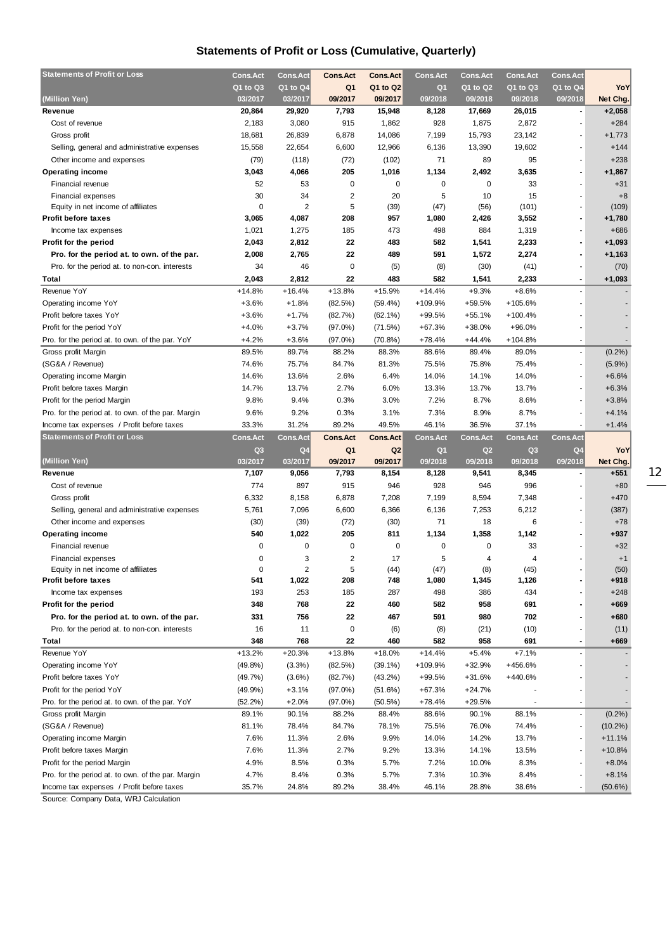## **Statements of Profit or Loss (Cumulative, Quarterly)**

| <b>Statements of Profit or Loss</b>                                                             | <b>Cons.Act</b> | <b>Cons.Act</b> | <b>Cons.Act</b>         | <b>Cons.Act</b> | <b>Cons.Act</b> | <b>Cons.Act</b> | <b>Cons.Act</b> | <b>Cons.Act</b> |                       |
|-------------------------------------------------------------------------------------------------|-----------------|-----------------|-------------------------|-----------------|-----------------|-----------------|-----------------|-----------------|-----------------------|
|                                                                                                 | Q1 to Q3        | Q1 to Q4        | Q1                      | Q1 to Q2        | Q <sub>1</sub>  | Q1 to Q2        | Q1 to Q3        | Q1 to Q4        | YoY                   |
| (Million Yen)                                                                                   | 03/2017         | 03/2017         | 09/2017                 | 09/2017         | 09/2018         | 09/2018         | 09/2018         | 09/2018         | Net Chg.              |
| Revenue                                                                                         | 20,864          | 29,920          | 7,793                   | 15,948          | 8,128           | 17,669          | 26,015          | $\blacksquare$  | $+2,058$              |
| Cost of revenue                                                                                 | 2,183           | 3,080           | 915                     | 1,862           | 928             | 1,875           | 2,872           |                 | $+284$                |
| Gross profit                                                                                    | 18,681          | 26,839          | 6,878                   | 14,086          | 7,199           | 15,793          | 23,142          |                 | $+1,773$              |
| Selling, general and administrative expenses                                                    | 15,558          | 22,654          | 6,600                   | 12,966          | 6,136           | 13,390          | 19,602          |                 | $+144$                |
| Other income and expenses                                                                       | (79)            | (118)           | (72)                    | (102)           | 71              | 89              | 95              | $\overline{a}$  | $+238$                |
| <b>Operating income</b>                                                                         | 3,043           | 4,066           | 205                     | 1,016           | 1,134           | 2,492           | 3,635           |                 | $+1,867$              |
| Financial revenue                                                                               | 52              | 53              | 0                       | 0               | 0               | 0               | 33              |                 | $+31$                 |
| Financial expenses                                                                              | 30              | 34              | $\overline{\mathbf{c}}$ | 20              | 5               | 10              | 15              |                 | $+8$                  |
| Equity in net income of affiliates                                                              | $\mathbf 0$     | $\overline{2}$  | 5                       | (39)            | (47)            | (56)            | (101)           |                 | (109)                 |
| <b>Profit before taxes</b>                                                                      | 3,065           | 4,087           | 208                     | 957             | 1,080           | 2,426           | 3,552           |                 | $+1,780$              |
| Income tax expenses                                                                             | 1,021           | 1,275           | 185                     | 473             | 498             | 884             | 1,319           |                 | $+686$                |
| Profit for the period                                                                           | 2,043           | 2,812           | 22                      | 483             | 582             | 1,541           | 2,233           |                 | $+1,093$              |
| Pro. for the period at. to own. of the par.                                                     | 2,008           | 2,765           | 22                      | 489             | 591             | 1,572           | 2,274           |                 | $+1,163$              |
| Pro. for the period at. to non-con. interests                                                   | 34              | 46              | $\mathbf 0$             | (5)             | (8)             | (30)            | (41)            |                 | (70)                  |
| Total                                                                                           | 2,043           | 2,812           | 22                      | 483             | 582             | 1,541           | 2,233           | $\blacksquare$  | $+1,093$              |
| Revenue YoY                                                                                     | $+14.8%$        | $+16.4%$        | $+13.8%$                | $+15.9%$        | $+14.4%$        | $+9.3%$         | $+8.6%$         |                 |                       |
| Operating income YoY                                                                            | $+3.6%$         | $+1.8%$         | (82.5%)                 | $(59.4\%)$      | +109.9%         | +59.5%          | $+105.6%$       |                 |                       |
| Profit before taxes YoY                                                                         | $+3.6%$         | $+1.7%$         | (82.7%)                 | $(62.1\%)$      | $+99.5%$        | $+55.1%$        | $+100.4%$       |                 |                       |
| Profit for the period YoY                                                                       | $+4.0%$         | $+3.7%$         | $(97.0\%)$              | (71.5%)         | $+67.3%$        | +38.0%          | $+96.0%$        |                 |                       |
| Pro. for the period at. to own. of the par. YoY                                                 | $+4.2%$         | $+3.6%$         | $(97.0\%)$              | $(70.8\%)$      | $+78.4%$        | +44.4%          | $+104.8%$       |                 |                       |
| Gross profit Margin                                                                             | 89.5%           | 89.7%           | 88.2%                   | 88.3%           | 88.6%           | 89.4%           | 89.0%           | $\blacksquare$  | $(0.2\%)$             |
| (SG&A / Revenue)                                                                                | 74.6%           | 75.7%           | 84.7%                   | 81.3%           | 75.5%           | 75.8%           | 75.4%           | $\blacksquare$  | $(5.9\%)$             |
| Operating income Margin                                                                         | 14.6%           | 13.6%           | 2.6%                    | 6.4%            | 14.0%           | 14.1%           | 14.0%           |                 | $+6.6%$               |
| Profit before taxes Margin                                                                      | 14.7%           | 13.7%           | 2.7%                    | 6.0%            | 13.3%           | 13.7%           | 13.7%           |                 | $+6.3%$               |
| Profit for the period Margin                                                                    | 9.8%            | 9.4%            | 0.3%                    | 3.0%            | 7.2%            | 8.7%            | 8.6%            |                 | $+3.8%$               |
| Pro. for the period at. to own. of the par. Margin                                              | 9.6%            | 9.2%            | 0.3%                    | 3.1%            | 7.3%            | 8.9%            | 8.7%            |                 | $+4.1%$               |
| Income tax expenses / Profit before taxes                                                       | 33.3%           | 31.2%           | 89.2%                   | 49.5%           | 46.1%           | 36.5%           | 37.1%           |                 | $+1.4%$               |
|                                                                                                 |                 |                 |                         |                 |                 |                 |                 |                 |                       |
|                                                                                                 |                 |                 |                         |                 |                 |                 |                 |                 |                       |
| <b>Statements of Profit or Loss</b>                                                             | <b>Cons.Act</b> | <b>Cons.Act</b> | <b>Cons.Act</b>         | <b>Cons.Act</b> | <b>Cons.Act</b> | <b>Cons.Act</b> | <b>Cons.Act</b> | <b>Cons.Act</b> |                       |
|                                                                                                 | Q3              | Q4              | Q1                      | Q <sub>2</sub>  | Q <sub>1</sub>  | Q2              | Q3              | Q <sub>4</sub>  | YoY                   |
| (Million Yen)                                                                                   | 03/2017         | 03/2017         | 09/2017                 | 09/2017         | 09/2018         | 09/2018         | 09/2018         | 09/2018         | Net Chg.              |
| Revenue                                                                                         | 7,107           | 9,056           | 7,793                   | 8,154           | 8,128           | 9,541           | 8,345           |                 | $+551$                |
| Cost of revenue                                                                                 | 774             | 897             | 915                     | 946             | 928             | 946             | 996             |                 | $+80$                 |
| Gross profit                                                                                    | 6,332           | 8,158           | 6,878                   | 7,208           | 7,199           | 8,594           | 7,348           |                 | $+470$                |
| Selling, general and administrative expenses                                                    | 5,761           | 7,096           | 6,600                   | 6,366           | 6,136           | 7,253           | 6,212           |                 | (387)                 |
| Other income and expenses                                                                       | (30)            | (39)            | (72)                    | (30)            | 71              | 18              | 6               |                 | $+78$                 |
| <b>Operating income</b>                                                                         | 540             | 1,022           | 205                     | 811             | 1,134           | 1,358           | 1,142           |                 | $+937$                |
| Financial revenue                                                                               | 0               | 0               | 0                       | $\mathbf 0$     | $\mathbf 0$     | $\mathbf 0$     | 33              |                 | $+32$                 |
| <b>Financial expenses</b>                                                                       | $\Omega$        | 3               | 2                       | 17              | 5               | 4               | 4               |                 | $+1$                  |
| Equity in net income of affiliates                                                              | 0               | 2               | 5                       | (44)            | (47)            | (8)             | (45)            |                 | (50)                  |
| <b>Profit before taxes</b>                                                                      | 541             | 1,022           | 208                     | 748             | 1,080           | 1,345           | 1,126           |                 | $+918$                |
| Income tax expenses                                                                             | 193             | 253             | 185                     | 287             | 498             | 386             | 434             |                 | $+248$                |
| Profit for the period                                                                           | 348             | 768             | 22                      | 460             | 582             | 958             | 691             |                 | $+669$                |
| Pro. for the period at. to own. of the par.                                                     | 331             | 756             | 22                      | 467             | 591             | 980             | 702             |                 | $+680$                |
| Pro. for the period at. to non-con. interests                                                   | 16              | 11              | 0                       | (6)             | (8)             | (21)            | (10)            |                 | (11)                  |
| Total                                                                                           | 348             | 768             | 22                      | 460             | 582             | 958             | 691             |                 | $+669$                |
| Revenue YoY                                                                                     | $+13.2%$        | $+20.3%$        | $+13.8%$                | $+18.0%$        | $+14.4%$        | $+5.4%$         | $+7.1%$         |                 |                       |
| Operating income YoY                                                                            | $(49.8\%)$      | $(3.3\%)$       | (82.5%)                 | $(39.1\%)$      | +109.9%         | $+32.9%$        | +456.6%         |                 |                       |
| Profit before taxes YoY                                                                         | (49.7%)         | $(3.6\%)$       | (82.7%)                 | $(43.2\%)$      | $+99.5%$        | +31.6%          | +440.6%         |                 |                       |
| Profit for the period YoY                                                                       | (49.9%          | $+3.1%$         | $(97.0\%)$              | (51.6%)         | $+67.3%$        | $+24.7%$        |                 |                 |                       |
| Pro. for the period at. to own. of the par. YoY                                                 | (52.2%)         | $+2.0%$         | $(97.0\%)$              | (50.5%)         | $+78.4%$        | +29.5%          |                 |                 |                       |
| Gross profit Margin                                                                             | 89.1%           | 90.1%           | 88.2%                   | 88.4%           | 88.6%           | 90.1%           | 88.1%           | $\blacksquare$  | $(0.2\%)$             |
| (SG&A / Revenue)                                                                                | 81.1%           | 78.4%           | 84.7%                   | 78.1%           | 75.5%           | 76.0%           | 74.4%           |                 | $(10.2\%)$            |
| Operating income Margin                                                                         | 7.6%            | 11.3%           | 2.6%                    | 9.9%            | 14.0%           | 14.2%           | 13.7%           |                 | $+11.1%$              |
| Profit before taxes Margin                                                                      | 7.6%            | 11.3%           | 2.7%                    | 9.2%            | 13.3%           | 14.1%           | 13.5%           |                 | $+10.8%$              |
| Profit for the period Margin                                                                    | 4.9%            | 8.5%            | 0.3%                    | 5.7%            | 7.2%            | 10.0%           | 8.3%            |                 | $+8.0%$               |
| Pro. for the period at. to own. of the par. Margin<br>Income tax expenses / Profit before taxes | 4.7%<br>35.7%   | 8.4%<br>24.8%   | 0.3%<br>89.2%           | 5.7%<br>38.4%   | 7.3%<br>46.1%   | 10.3%<br>28.8%  | 8.4%<br>38.6%   |                 | $+8.1%$<br>$(50.6\%)$ |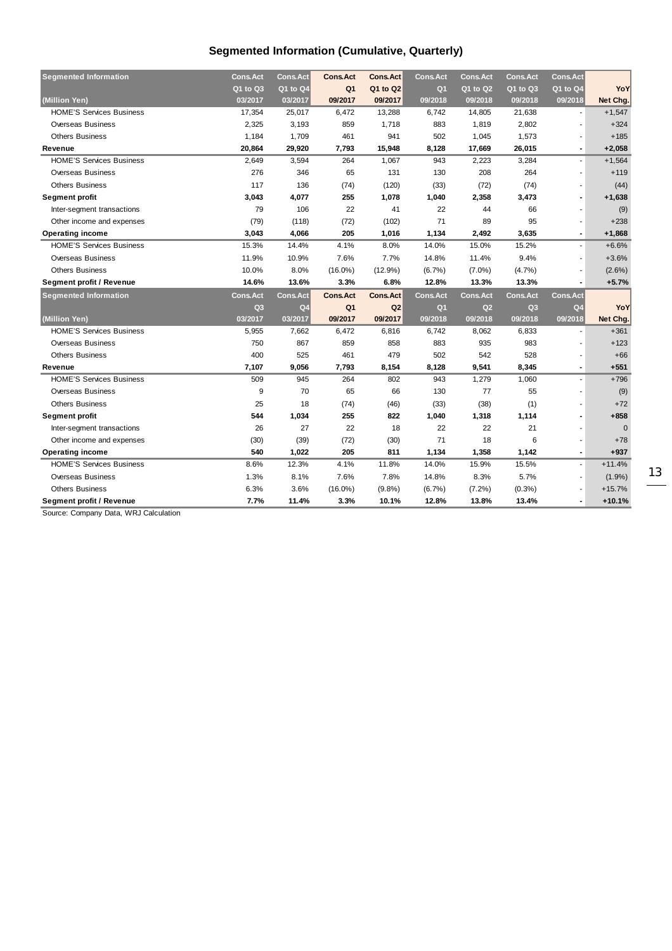## **Segmented Information (Cumulative, Quarterly)**

| <b>Segmented Information</b>    | <b>Cons.Act</b> | <b>Cons.Act</b> | <b>Cons.Act</b> | <b>Cons.Act</b> | <b>Cons.Act</b> | <b>Cons.Act</b> | <b>Cons.Act</b> | <b>Cons.Act</b>          |              |
|---------------------------------|-----------------|-----------------|-----------------|-----------------|-----------------|-----------------|-----------------|--------------------------|--------------|
|                                 | Q1 to Q3        | Q1 to Q4        | Q <sub>1</sub>  | Q1 to Q2        | Q <sub>1</sub>  | $Q1$ to $Q2$    | Q1 to Q3        | Q1 to Q4                 | YoY          |
| (Million Yen)                   | 03/2017         | 03/2017         | 09/2017         | 09/2017         | 09/2018         | 09/2018         | 09/2018         | 09/2018                  | Net Chg.     |
| <b>HOME'S Services Business</b> | 17,354          | 25,017          | 6,472           | 13,288          | 6,742           | 14,805          | 21,638          |                          | $+1,547$     |
| <b>Overseas Business</b>        | 2,325           | 3,193           | 859             | 1,718           | 883             | 1,819           | 2,802           |                          | $+324$       |
| <b>Others Business</b>          | 1,184           | 1,709           | 461             | 941             | 502             | 1,045           | 1,573           | $\overline{\phantom{a}}$ | $+185$       |
| Revenue                         | 20,864          | 29.920          | 7,793           | 15,948          | 8,128           | 17,669          | 26,015          | $\blacksquare$           | $+2,058$     |
| <b>HOME'S Services Business</b> | 2,649           | 3,594           | 264             | 1,067           | 943             | 2,223           | 3,284           | $\blacksquare$           | $+1,564$     |
| <b>Overseas Business</b>        | 276             | 346             | 65              | 131             | 130             | 208             | 264             |                          | $+119$       |
| <b>Others Business</b>          | 117             | 136             | (74)            | (120)           | (33)            | (72)            | (74)            |                          | (44)         |
| <b>Segment profit</b>           | 3,043           | 4,077           | 255             | 1,078           | 1,040           | 2,358           | 3,473           | $\blacksquare$           | $+1,638$     |
| Inter-segment transactions      | 79              | 106             | 22              | 41              | 22              | 44              | 66              |                          | (9)          |
| Other income and expenses       | (79)            | (118)           | (72)            | (102)           | 71              | 89              | 95              |                          | $+238$       |
| <b>Operating income</b>         | 3,043           | 4,066           | 205             | 1,016           | 1,134           | 2,492           | 3,635           | $\blacksquare$           | $+1,868$     |
| <b>HOME'S Services Business</b> | 15.3%           | 14.4%           | 4.1%            | 8.0%            | 14.0%           | 15.0%           | 15.2%           |                          | $+6.6%$      |
| <b>Overseas Business</b>        | 11.9%           | 10.9%           | 7.6%            | 7.7%            | 14.8%           | 11.4%           | 9.4%            |                          | $+3.6%$      |
| <b>Others Business</b>          | 10.0%           | 8.0%            | $(16.0\%)$      | $(12.9\%)$      | (6.7%)          | $(7.0\%)$       | (4.7%)          |                          | $(2.6\%)$    |
| Segment profit / Revenue        | 14.6%           | 13.6%           | 3.3%            | 6.8%            | 12.8%           | 13.3%           | 13.3%           | $\overline{\phantom{a}}$ | $+5.7%$      |
| <b>Segmented Information</b>    | <b>Cons.Act</b> | <b>Cons.Act</b> | <b>Cons.Act</b> | <b>Cons.Act</b> | <b>Cons.Act</b> | <b>Cons.Act</b> | <b>Cons.Act</b> | <b>Cons.Act</b>          |              |
|                                 | Q <sub>3</sub>  | Q4              | Q <sub>1</sub>  | Q2              | Q <sub>1</sub>  | Q2              | Q <sub>3</sub>  | Q <sub>4</sub>           | YoY          |
| (Million Yen)                   | 03/2017         | 03/2017         | 09/2017         | 09/2017         | 09/2018         | 09/2018         | 09/2018         | 09/2018                  | Net Chg.     |
| <b>HOME'S Services Business</b> | 5,955           | 7,662           | 6,472           | 6,816           | 6,742           | 8,062           | 6,833           |                          | $+361$       |
| <b>Overseas Business</b>        | 750             | 867             | 859             | 858             | 883             | 935             | 983             |                          | $+123$       |
| <b>Others Business</b>          | 400             | 525             | 461             | 479             | 502             | 542             | 528             |                          | $+66$        |
| Revenue                         | 7,107           | 9,056           | 7,793           | 8,154           | 8,128           | 9,541           | 8,345           | $\blacksquare$           | $+551$       |
| <b>HOME'S Services Business</b> | 509             | 945             | 264             | 802             | 943             | 1,279           | 1,060           |                          | $+796$       |
| Overseas Business               | 9               | 70              | 65              | 66              | 130             | 77              | 55              |                          | (9)          |
| <b>Others Business</b>          | 25              | 18              | (74)            | (46)            | (33)            | (38)            | (1)             |                          | $+72$        |
| Segment profit                  | 544             | 1,034           | 255             | 822             | 1,040           | 1,318           | 1,114           |                          | $+858$       |
| Inter-segment transactions      | 26              | 27              | 22              | 18              | 22              | 22              | 21              |                          | $\mathbf{0}$ |
| Other income and expenses       | (30)            | (39)            | (72)            | (30)            | 71              | 18              | 6               |                          | $+78$        |
| <b>Operating income</b>         |                 | 1,022           | 205             | 811             | 1,134           | 1,358           | 1,142           | $\blacksquare$           | $+937$       |
|                                 | 540             |                 |                 |                 |                 |                 |                 |                          |              |
| <b>HOME'S Services Business</b> | 8.6%            | 12.3%           | 4.1%            | 11.8%           | 14.0%           | 15.9%           | 15.5%           | $\blacksquare$           | $+11.4%$     |
| <b>Overseas Business</b>        | 1.3%            | 8.1%            | 7.6%            | 7.8%            | 14.8%           | 8.3%            | 5.7%            | $\blacksquare$           | (1.9%)       |
| <b>Others Business</b>          | 6.3%            | 3.6%            | $(16.0\%)$      | (9.8%           | $(6.7\%)$       | $(7.2\%)$       | (0.3%)          |                          | $+15.7%$     |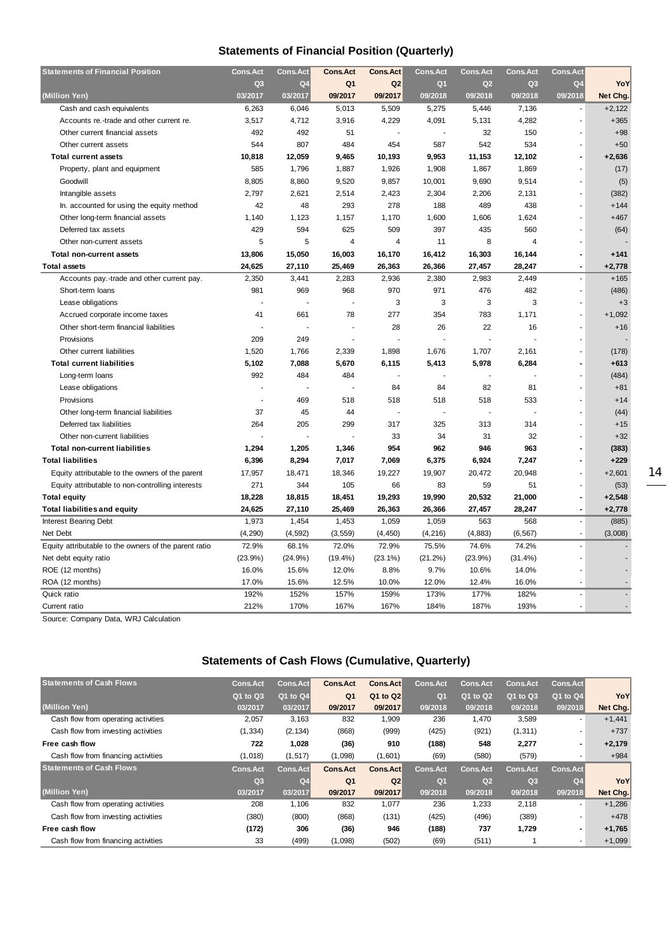## **Statements of Financial Position (Quarterly)**

| <b>Statements of Financial Position</b>               | <b>Cons.Act</b> | <b>Cons.Act</b> | <b>Cons.Act</b> | <b>Cons.Act</b> | <b>Cons.Act</b> | <b>Cons.Act</b> | <b>Cons.Act</b> | <b>Cons.Act</b>          |          |
|-------------------------------------------------------|-----------------|-----------------|-----------------|-----------------|-----------------|-----------------|-----------------|--------------------------|----------|
|                                                       | Q <sub>3</sub>  | Q4              | Q <sub>1</sub>  | Q <sub>2</sub>  | Q <sub>1</sub>  | Q2              | Q <sub>3</sub>  | Q <sub>4</sub>           | YoY      |
| (Million Yen)                                         | 03/2017         | 03/2017         | 09/2017         | 09/2017         | 09/2018         | 09/2018         | 09/2018         | 09/2018                  | Net Chg. |
| Cash and cash equivalents                             | 6,263           | 6,046           | 5,013           | 5,509           | 5,275           | 5,446           | 7,136           |                          | $+2,122$ |
| Accounts re.-trade and other current re.              | 3,517           | 4,712           | 3,916           | 4,229           | 4,091           | 5,131           | 4,282           | ÷.                       | $+365$   |
| Other current financial assets                        | 492             | 492             | 51              |                 |                 | 32              | 150             |                          | $+98$    |
| Other current assets                                  | 544             | 807             | 484             | 454             | 587             | 542             | 534             |                          | $+50$    |
| <b>Total current assets</b>                           | 10,818          | 12,059          | 9,465           | 10,193          | 9,953           | 11,153          | 12,102          |                          | $+2,636$ |
| Property, plant and equipment                         | 585             | 1,796           | 1,887           | 1,926           | 1,908           | 1,867           | 1,869           |                          | (17)     |
| Goodwill                                              | 8,805           | 8,860           | 9,520           | 9,857           | 10,001          | 9,690           | 9,514           |                          | (5)      |
| Intangible assets                                     | 2,797           | 2,621           | 2,514           | 2,423           | 2,304           | 2,206           | 2,131           |                          | (382)    |
| In. accounted for using the equity method             | 42              | 48              | 293             | 278             | 188             | 489             | 438             |                          | $+144$   |
| Other long-term financial assets                      | 1.140           | 1,123           | 1,157           | 1,170           | 1,600           | 1,606           | 1,624           |                          | $+467$   |
| Deferred tax assets                                   | 429             | 594             | 625             | 509             | 397             | 435             | 560             |                          | (64)     |
| Other non-current assets                              | 5               | 5               | 4               | 4               | 11              | 8               | 4               |                          |          |
| <b>Total non-current assets</b>                       | 13,806          | 15,050          | 16,003          | 16,170          | 16,412          | 16,303          | 16,144          |                          | $+141$   |
| <b>Total assets</b>                                   | 24,625          | 27,110          | 25,469          | 26,363          | 26,366          | 27,457          | 28,247          | $\blacksquare$           | $+2,778$ |
| Accounts pay.-trade and other current pay.            | 2,350           | 3,441           | 2,283           | 2,936           | 2,380           | 2,983           | 2,449           |                          | $+165$   |
| Short-term loans                                      | 981             | 969             | 968             | 970             | 971             | 476             | 482             |                          | (486)    |
| Lease obligations                                     |                 | Ĭ.              | ÷.              | 3               | 3               | 3               | 3               |                          | $+3$     |
| Accrued corporate income taxes                        | 41              | 661             | 78              | 277             | 354             | 783             | 1,171           |                          | $+1,092$ |
| Other short-term financial liabilities                |                 |                 |                 | 28              | 26              | 22              | 16              |                          | $+16$    |
| Provisions                                            | 209             | 249             |                 |                 |                 | J.              |                 |                          |          |
| Other current liabilities                             | 1,520           | 1,766           | 2,339           | 1,898           | 1,676           | 1,707           | 2,161           |                          | (178)    |
| <b>Total current liabilities</b>                      | 5,102           | 7,088           | 5,670           | 6,115           | 5,413           | 5,978           | 6,284           |                          | $+613$   |
| Long-term loans                                       | 992             | 484             | 484             |                 |                 | $\overline{a}$  |                 |                          | (484)    |
| Lease obligations                                     | ÷               | ä,              | $\overline{a}$  | 84              | 84              | 82              | 81              |                          | $+81$    |
| Provisions                                            |                 | 469             | 518             | 518             | 518             | 518             | 533             |                          | $+14$    |
| Other long-term financial liabilities                 | 37              | 45              | 44              |                 |                 | J,              |                 |                          | (44)     |
| Deferred tax liabilities                              | 264             | 205             | 299             | 317             | 325             | 313             | 314             |                          | $+15$    |
| Other non-current liabilities                         |                 |                 |                 | 33              | 34              | 31              | 32              |                          | $+32$    |
| <b>Total non-current liabilities</b>                  | 1,294           | 1,205           | 1,346           | 954             | 962             | 946             | 963             |                          | (383)    |
| <b>Total liabilities</b>                              | 6,396           | 8,294           | 7,017           | 7,069           | 6,375           | 6,924           | 7,247           |                          | $+229$   |
| Equity attributable to the owners of the parent       | 17,957          | 18,471          | 18,346          | 19,227          | 19,907          | 20,472          | 20,948          |                          | $+2,601$ |
| Equity attributable to non-controlling interests      | 271             | 344             | 105             | 66              | 83              | 59              | 51              |                          | (53)     |
| <b>Total equity</b>                                   | 18,228          | 18,815          | 18,451          | 19,293          | 19,990          | 20,532          | 21,000          | $\blacksquare$           | $+2,548$ |
| <b>Total liabilities and equity</b>                   | 24,625          | 27,110          | 25,469          | 26,363          | 26,366          | 27,457          | 28,247          | $\blacksquare$           | $+2,778$ |
| <b>Interest Bearing Debt</b>                          | 1,973           | 1,454           | 1,453           | 1,059           | 1,059           | 563             | 568             | $\blacksquare$           | (885)    |
| Net Debt                                              | (4, 290)        | (4, 592)        | (3, 559)        | (4, 450)        | (4, 216)        | (4, 883)        | (6, 567)        | $\sim$                   | (3,008)  |
| Equity attributable to the owners of the parent ratio | 72.9%           | 68.1%           | 72.0%           | 72.9%           | 75.5%           | 74.6%           | 74.2%           |                          |          |
| Net debt equity ratio                                 | (23.9%)         | $(24.9\%)$      | $(19.4\%)$      | $(23.1\%)$      | (21.2%)         | (23.9%)         | (31.4%)         |                          |          |
| ROE (12 months)                                       | 16.0%           | 15.6%           | 12.0%           | 8.8%            | 9.7%            | 10.6%           | 14.0%           |                          |          |
| ROA (12 months)                                       | 17.0%           | 15.6%           | 12.5%           | 10.0%           | 12.0%           | 12.4%           | 16.0%           |                          |          |
| Quick ratio                                           | 192%            | 152%            | 157%            | 159%            | 173%            | 177%            | 182%            | $\overline{\phantom{a}}$ | ÷.       |
| Current ratio                                         | 212%            | 170%            | 167%            | 167%            | 184%            | 187%            | 193%            | $\sim$                   | ٠        |

Source: Company Data, WRJ Calculation

### **Statements of Cash Flows (Cumulative, Quarterly)**

| <b>Statements of Cash Flows</b>     | <b>Cons.Act</b> | Cons.Act       | <b>Cons.Act</b> | <b>Cons.Act</b> | Cons.Act        | <b>Cons.Act</b> | <b>Cons.Act</b> | Cons.Act                 |          |
|-------------------------------------|-----------------|----------------|-----------------|-----------------|-----------------|-----------------|-----------------|--------------------------|----------|
|                                     | Q1 to Q3        | Q1 to Q4       | Q <sub>1</sub>  | Q1 to Q2        | Q <sub>1</sub>  | Q1 to Q2        | Q1 to Q3        | Q1 to Q4                 | YoY      |
| (Million Yen)                       | 03/2017         | 03/2017        | 09/2017         | 09/2017         | 09/2018         | 09/2018         | 09/2018         | 09/2018                  | Net Chg. |
| Cash flow from operating activities | 2,057           | 3,163          | 832             | 1,909           | 236             | 1,470           | 3,589           | $\overline{\phantom{a}}$ | $+1,441$ |
| Cash flow from investing activities | (1, 334)        | (2, 134)       | (868)           | (999)           | (425)           | (921)           | (1, 311)        | $\overline{\phantom{a}}$ | $+737$   |
| Free cash flow                      | 722             | 1,028          | (36)            | 910             | (188)           | 548             | 2,277           | $\blacksquare$           | $+2,179$ |
| Cash flow from financing activities | (1,018)         | (1, 517)       | (1,098)         | (1,601)         | (69)            | (580)           | (579)           | $\overline{\phantom{a}}$ | $+984$   |
| <b>Statements of Cash Flows</b>     | <b>Cons.Act</b> | Cons.Act       | <b>Cons.Act</b> | <b>Cons.Act</b> | <b>Cons.Act</b> | <b>Cons.Act</b> | <b>Cons.Act</b> | Cons.Act                 |          |
|                                     | Q <sub>3</sub>  | Q <sub>4</sub> | Q <sub>1</sub>  | Q2              | Q <sub>1</sub>  | Q <sub>2</sub>  | Q <sub>3</sub>  | O <sub>4</sub>           | YoY      |
| (Million Yen)                       | 03/2017         | 03/2017        | 09/2017         | 09/2017         | 09/2018         | 09/2018         | 09/2018         | 09/2018                  | Net Chg. |
| Cash flow from operating activities | 208             | 1,106          | 832             | 1,077           | 236             | 1,233           | 2,118           | $\overline{\phantom{a}}$ | $+1,286$ |
| Cash flow from investing activities | (380)           | (800)          | (868)           | (131)           | (425)           | (496)           | (389)           | $\overline{\phantom{a}}$ | $+478$   |
| Free cash flow                      | (172)           | 306            | (36)            | 946             | (188)           | 737             | 1,729           | $\blacksquare$           | $+1,765$ |
| Cash flow from financing activities | 33              | (499)          | (1,098)         | (502)           | (69)            | (511)           |                 | $\overline{\phantom{a}}$ | $+1,099$ |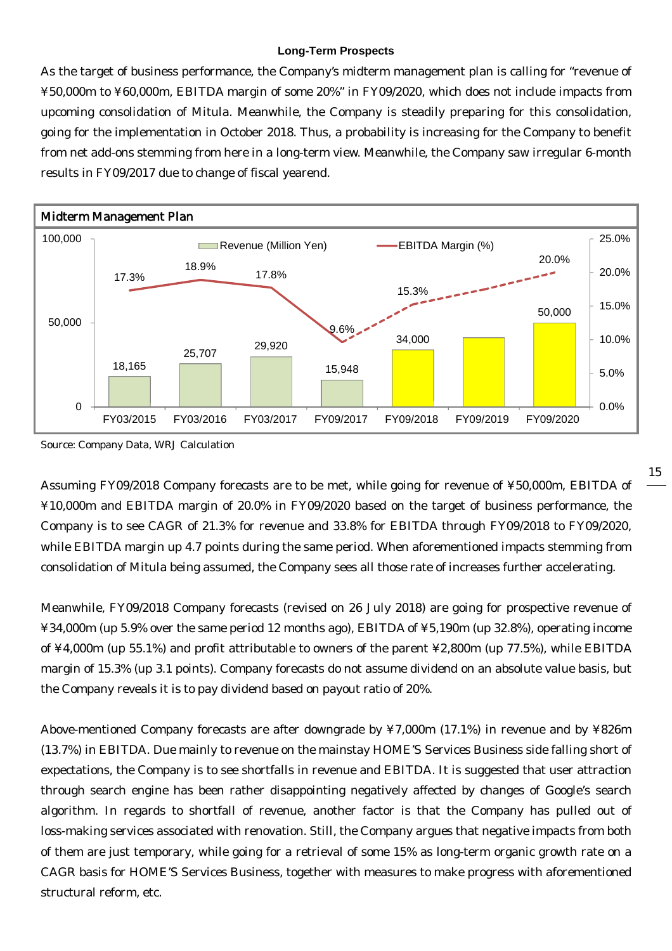#### **Long-Term Prospects**

As the target of business performance, the Company's midterm management plan is calling for "revenue of ¥50,000m to ¥60,000m, EBITDA margin of some 20%" in FY09/2020, which does not include impacts from upcoming consolidation of Mitula. Meanwhile, the Company is steadily preparing for this consolidation, going for the implementation in October 2018. Thus, a probability is increasing for the Company to benefit from net add-ons stemming from here in a long-term view. Meanwhile, the Company saw irregular 6-month results in FY09/2017 due to change of fiscal yearend.



Source: Company Data, WRJ Calculation

Assuming FY09/2018 Company forecasts are to be met, while going for revenue of ¥50,000m, EBITDA of ¥10,000m and EBITDA margin of 20.0% in FY09/2020 based on the target of business performance, the Company is to see CAGR of 21.3% for revenue and 33.8% for EBITDA through FY09/2018 to FY09/2020, while EBITDA margin up 4.7 points during the same period. When aforementioned impacts stemming from consolidation of Mitula being assumed, the Company sees all those rate of increases further accelerating.

Meanwhile, FY09/2018 Company forecasts (revised on 26 July 2018) are going for prospective revenue of ¥34,000m (up 5.9% over the same period 12 months ago), EBITDA of ¥5,190m (up 32.8%), operating income of ¥4,000m (up 55.1%) and profit attributable to owners of the parent ¥2,800m (up 77.5%), while EBITDA margin of 15.3% (up 3.1 points). Company forecasts do not assume dividend on an absolute value basis, but the Company reveals it is to pay dividend based on payout ratio of 20%.

Above-mentioned Company forecasts are after downgrade by ¥7,000m (17.1%) in revenue and by ¥826m (13.7%) in EBITDA. Due mainly to revenue on the mainstay HOME'S Services Business side falling short of expectations, the Company is to see shortfalls in revenue and EBITDA. It is suggested that user attraction through search engine has been rather disappointing negatively affected by changes of Google's search algorithm. In regards to shortfall of revenue, another factor is that the Company has pulled out of loss-making services associated with renovation. Still, the Company argues that negative impacts from both of them are just temporary, while going for a retrieval of some 15% as long-term organic growth rate on a CAGR basis for HOME'S Services Business, together with measures to make progress with aforementioned structural reform, etc.

15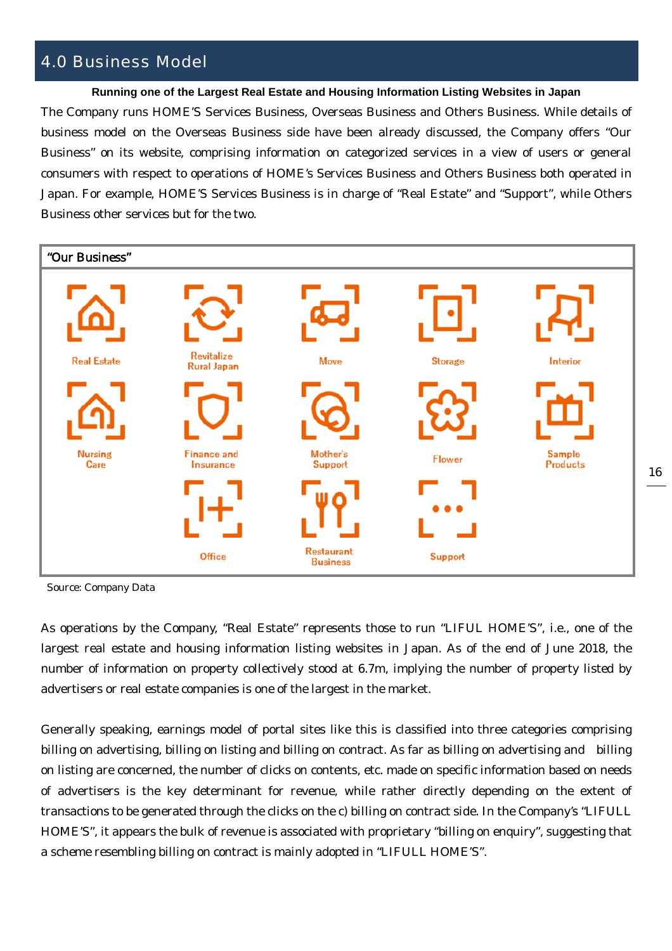## 4.0 Business Model

**Running one of the Largest Real Estate and Housing Information Listing Websites in Japan**

The Company runs HOME'S Services Business, Overseas Business and Others Business. While details of business model on the Overseas Business side have been already discussed, the Company offers "Our Business" on its website, comprising information on categorized services in a view of users or general consumers with respect to operations of HOME's Services Business and Others Business both operated in Japan. For example, HOME'S Services Business is in charge of "Real Estate" and "Support", while Others Business other services but for the two.



Source: Company Data

As operations by the Company, "Real Estate" represents those to run "LIFUL HOME'S", i.e., one of the largest real estate and housing information listing websites in Japan. As of the end of June 2018, the number of information on property collectively stood at 6.7m, implying the number of property listed by advertisers or real estate companies is one of the largest in the market.

Generally speaking, earnings model of portal sites like this is classified into three categories comprising billing on advertising, billing on listing and billing on contract. As far as billing on advertising and billing on listing are concerned, the number of clicks on contents, etc. made on specific information based on needs of advertisers is the key determinant for revenue, while rather directly depending on the extent of transactions to be generated through the clicks on the c) billing on contract side. In the Company's "LIFULL HOME'S", it appears the bulk of revenue is associated with proprietary "billing on enquiry", suggesting that a scheme resembling billing on contract is mainly adopted in "LIFULL HOME'S".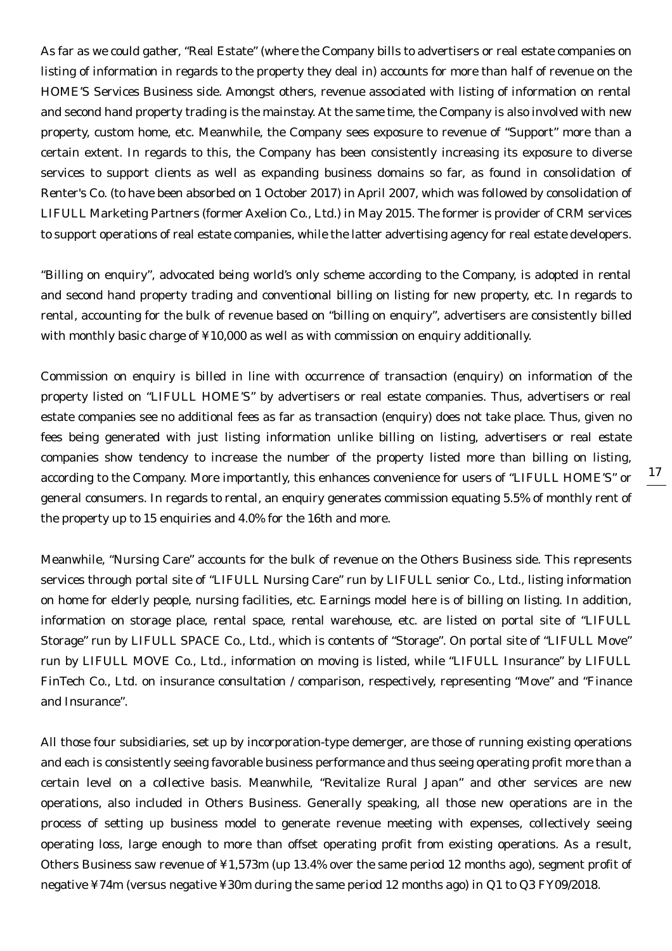As far as we could gather, "Real Estate" (where the Company bills to advertisers or real estate companies on listing of information in regards to the property they deal in) accounts for more than half of revenue on the HOME'S Services Business side. Amongst others, revenue associated with listing of information on rental and second hand property trading is the mainstay. At the same time, the Company is also involved with new property, custom home, etc. Meanwhile, the Company sees exposure to revenue of "Support" more than a certain extent. In regards to this, the Company has been consistently increasing its exposure to diverse services to support clients as well as expanding business domains so far, as found in consolidation of Renter's Co. (to have been absorbed on 1 October 2017) in April 2007, which was followed by consolidation of LIFULL Marketing Partners (former Axelion Co., Ltd.) in May 2015. The former is provider of CRM services to support operations of real estate companies, while the latter advertising agency for real estate developers.

"Billing on enquiry", advocated being world's only scheme according to the Company, is adopted in rental and second hand property trading and conventional billing on listing for new property, etc. In regards to rental, accounting for the bulk of revenue based on "billing on enquiry", advertisers are consistently billed with monthly basic charge of ¥10,000 as well as with commission on enquiry additionally.

Commission on enquiry is billed in line with occurrence of transaction (enquiry) on information of the property listed on "LIFULL HOME'S" by advertisers or real estate companies. Thus, advertisers or real estate companies see no additional fees as far as transaction (enquiry) does not take place. Thus, given no fees being generated with just listing information unlike billing on listing, advertisers or real estate companies show tendency to increase the number of the property listed more than billing on listing, according to the Company. More importantly, this enhances convenience for users of "LIFULL HOME'S" or general consumers. In regards to rental, an enquiry generates commission equating 5.5% of monthly rent of the property up to 15 enquiries and 4.0% for the 16th and more.

Meanwhile, "Nursing Care" accounts for the bulk of revenue on the Others Business side. This represents services through portal site of "LIFULL Nursing Care" run by LIFULL senior Co., Ltd., listing information on home for elderly people, nursing facilities, etc. Earnings model here is of billing on listing. In addition, information on storage place, rental space, rental warehouse, etc. are listed on portal site of "LIFULL Storage" run by LIFULL SPACE Co., Ltd., which is contents of "Storage". On portal site of "LIFULL Move" run by LIFULL MOVE Co., Ltd., information on moving is listed, while "LIFULL Insurance" by LIFULL FinTech Co., Ltd. on insurance consultation / comparison, respectively, representing "Move" and "Finance and Insurance".

All those four subsidiaries, set up by incorporation-type demerger, are those of running existing operations and each is consistently seeing favorable business performance and thus seeing operating profit more than a certain level on a collective basis. Meanwhile, "Revitalize Rural Japan" and other services are new operations, also included in Others Business. Generally speaking, all those new operations are in the process of setting up business model to generate revenue meeting with expenses, collectively seeing operating loss, large enough to more than offset operating profit from existing operations. As a result, Others Business saw revenue of ¥1,573m (up 13.4% over the same period 12 months ago), segment profit of negative ¥74m (versus negative ¥30m during the same period 12 months ago) in Q1 to Q3 FY09/2018.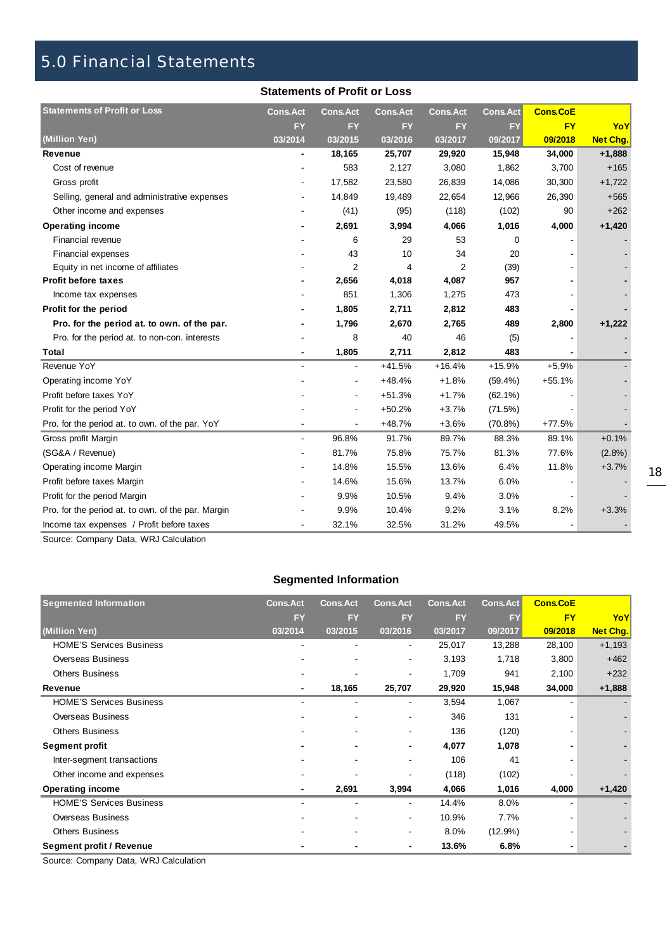## 5.0 Financial Statements

#### **Statements of Profit or Loss**

| <b>Statements of Profit or Loss</b>                | <b>Cons.Act</b> | <b>Cons.Act</b>          | <b>Cons.Act</b> | <b>Cons.Act</b> | <b>Cons.Act</b> | <b>Cons.CoE</b> |                 |
|----------------------------------------------------|-----------------|--------------------------|-----------------|-----------------|-----------------|-----------------|-----------------|
|                                                    | <b>FY</b>       | <b>FY</b>                | <b>FY</b>       | <b>FY</b>       | <b>FY</b>       | <b>FY</b>       | YoY             |
| (Million Yen)                                      | 03/2014         | 03/2015                  | 03/2016         | 03/2017         | 09/2017         | 09/2018         | <b>Net Chg.</b> |
| Revenue                                            |                 | 18,165                   | 25,707          | 29,920          | 15,948          | 34,000          | $+1,888$        |
| Cost of revenue                                    |                 | 583                      | 2,127           | 3,080           | 1,862           | 3,700           | $+165$          |
| Gross profit                                       |                 | 17,582                   | 23,580          | 26,839          | 14,086          | 30,300          | $+1,722$        |
| Selling, general and administrative expenses       |                 | 14,849                   | 19,489          | 22,654          | 12,966          | 26,390          | $+565$          |
| Other income and expenses                          |                 | (41)                     | (95)            | (118)           | (102)           | 90              | $+262$          |
| <b>Operating income</b>                            |                 | 2,691                    | 3,994           | 4,066           | 1,016           | 4,000           | $+1,420$        |
| Financial revenue                                  |                 | 6                        | 29              | 53              | 0               |                 |                 |
| Financial expenses                                 |                 | 43                       | 10              | 34              | 20              |                 |                 |
| Equity in net income of affiliates                 |                 | 2                        | 4               | 2               | (39)            |                 |                 |
| <b>Profit before taxes</b>                         |                 | 2,656                    | 4,018           | 4,087           | 957             |                 |                 |
| Income tax expenses                                |                 | 851                      | 1,306           | 1,275           | 473             |                 |                 |
| Profit for the period                              |                 | 1,805                    | 2,711           | 2,812           | 483             |                 |                 |
| Pro. for the period at. to own. of the par.        |                 | 1,796                    | 2,670           | 2,765           | 489             | 2,800           | $+1,222$        |
| Pro. for the period at. to non-con. interests      |                 | 8                        | 40              | 46              | (5)             |                 |                 |
| Total                                              |                 | 1,805                    | 2,711           | 2,812           | 483             |                 |                 |
| Revenue YoY                                        |                 |                          | $+41.5%$        | $+16.4%$        | $+15.9%$        | $+5.9%$         |                 |
| Operating income YoY                               |                 |                          | $+48.4%$        | $+1.8%$         | $(59.4\%)$      | $+55.1%$        |                 |
| Profit before taxes YoY                            |                 | $\overline{\phantom{a}}$ | $+51.3%$        | $+1.7%$         | $(62.1\%)$      |                 |                 |
| Profit for the period YoY                          |                 |                          | $+50.2%$        | $+3.7%$         | (71.5%)         |                 |                 |
| Pro. for the period at. to own. of the par. YoY    |                 | $\overline{\phantom{a}}$ | $+48.7%$        | $+3.6%$         | $(70.8\%)$      | $+77.5%$        |                 |
| Gross profit Margin                                | $\blacksquare$  | 96.8%                    | 91.7%           | 89.7%           | 88.3%           | 89.1%           | $+0.1%$         |
| (SG&A / Revenue)                                   |                 | 81.7%                    | 75.8%           | 75.7%           | 81.3%           | 77.6%           | (2.8%)          |
| Operating income Margin                            |                 | 14.8%                    | 15.5%           | 13.6%           | 6.4%            | 11.8%           | $+3.7%$         |
| Profit before taxes Margin                         |                 | 14.6%                    | 15.6%           | 13.7%           | 6.0%            |                 |                 |
| Profit for the period Margin                       |                 | 9.9%                     | 10.5%           | 9.4%            | 3.0%            |                 |                 |
| Pro. for the period at. to own. of the par. Margin |                 | 9.9%                     | 10.4%           | 9.2%            | 3.1%            | 8.2%            | $+3.3%$         |
| Income tax expenses / Profit before taxes          |                 | 32.1%                    | 32.5%           | 31.2%           | 49.5%           |                 |                 |

Source: Company Data, WRJ Calculation

## **Segmented Information**

| <b>Segmented Information</b>         | <b>Cons.Act</b> | <b>Cons.Act</b> | <b>Cons.Act</b>          | <b>Cons.Act</b> | <b>Cons.Act</b> | <b>Cons.CoE</b> |                 |
|--------------------------------------|-----------------|-----------------|--------------------------|-----------------|-----------------|-----------------|-----------------|
|                                      | <b>FY</b>       | <b>FY</b>       | <b>FY</b>                | <b>FY</b>       | <b>FY</b>       | <b>FY</b>       | YoY             |
| (Million Yen)                        | 03/2014         | 03/2015         | 03/2016                  | 03/2017         | 09/2017         | 09/2018         | <b>Net Chg.</b> |
| <b>HOME'S Services Business</b>      |                 |                 | $\overline{\phantom{a}}$ | 25,017          | 13,288          | 28,100          | $+1,193$        |
| <b>Overseas Business</b>             |                 |                 | $\blacksquare$           | 3,193           | 1,718           | 3,800           | $+462$          |
| <b>Others Business</b>               |                 |                 | $\blacksquare$           | 1,709           | 941             | 2,100           | $+232$          |
| Revenue                              | ۰               | 18,165          | 25,707                   | 29,920          | 15,948          | 34,000          | $+1,888$        |
| <b>HOME'S Services Business</b>      |                 |                 | $\blacksquare$           | 3,594           | 1,067           |                 |                 |
| Overseas Business                    |                 |                 | $\overline{\phantom{a}}$ | 346             | 131             |                 |                 |
| <b>Others Business</b>               |                 | ۰               | $\blacksquare$           | 136             | (120)           |                 |                 |
| <b>Segment profit</b>                |                 |                 | $\blacksquare$           | 4,077           | 1,078           |                 |                 |
| Inter-segment transactions           |                 |                 | $\overline{\phantom{a}}$ | 106             | 41              |                 |                 |
| Other income and expenses            |                 |                 | $\blacksquare$           | (118)           | (102)           |                 |                 |
| <b>Operating income</b>              |                 | 2,691           | 3,994                    | 4,066           | 1,016           | 4,000           | $+1,420$        |
| <b>HOME'S Services Business</b>      |                 |                 |                          | 14.4%           | 8.0%            |                 |                 |
| Overseas Business                    |                 |                 | $\overline{\phantom{a}}$ | 10.9%           | 7.7%            |                 |                 |
| <b>Others Business</b>               |                 |                 | $\blacksquare$           | 8.0%            | $(12.9\%)$      |                 |                 |
| Segment profit / Revenue             |                 |                 |                          | 13.6%           | 6.8%            |                 |                 |
| Cause: Campany Data, MDJ Calculation |                 |                 |                          |                 |                 |                 |                 |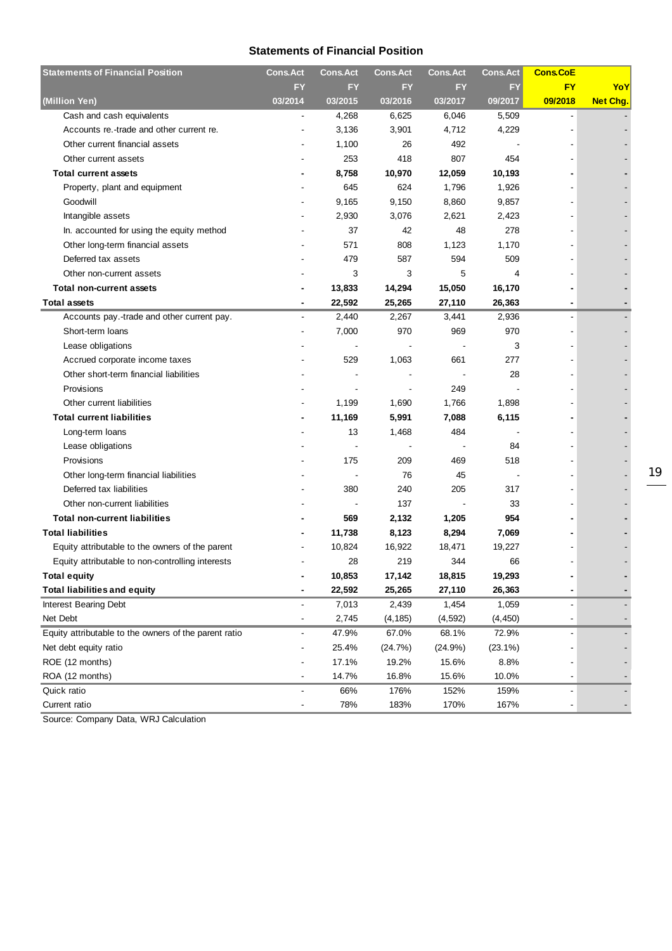#### **Statements of Financial Position**

| <b>Statements of Financial Position</b>               | <b>Cons.Act</b> | <b>Cons.Act</b> | <b>Cons.Act</b>          | <b>Cons.Act</b> | <b>Cons.Act</b> | <b>Cons.CoE</b> |                 |
|-------------------------------------------------------|-----------------|-----------------|--------------------------|-----------------|-----------------|-----------------|-----------------|
|                                                       | FY              | <b>FY</b>       | FY                       | FY              | FY              | <b>FY</b>       | YoY             |
| (Million Yen)                                         | 03/2014         | 03/2015         | 03/2016                  | 03/2017         | 09/2017         | 09/2018         | <b>Net Chg.</b> |
| Cash and cash equivalents                             |                 | 4,268           | 6,625                    | 6,046           | 5,509           |                 |                 |
| Accounts re.-trade and other current re.              |                 | 3,136           | 3,901                    | 4,712           | 4,229           | $\blacksquare$  |                 |
| Other current financial assets                        |                 | 1,100           | 26                       | 492             |                 |                 |                 |
| Other current assets                                  |                 | 253             | 418                      | 807             | 454             |                 |                 |
| <b>Total current assets</b>                           |                 | 8,758           | 10,970                   | 12,059          | 10,193          |                 |                 |
| Property, plant and equipment                         |                 | 645             | 624                      | 1,796           | 1,926           |                 |                 |
| Goodwill                                              |                 | 9,165           | 9,150                    | 8,860           | 9,857           |                 |                 |
| Intangible assets                                     |                 | 2,930           | 3,076                    | 2,621           | 2,423           |                 |                 |
| In. accounted for using the equity method             |                 | 37              | 42                       | 48              | 278             |                 |                 |
| Other long-term financial assets                      |                 | 571             | 808                      | 1,123           | 1,170           |                 |                 |
| Deferred tax assets                                   |                 | 479             | 587                      | 594             | 509             |                 |                 |
| Other non-current assets                              |                 | 3               | 3                        | 5               | 4               |                 |                 |
| Total non-current assets                              |                 | 13,833          | 14,294                   | 15,050          | 16,170          |                 |                 |
| <b>Total assets</b>                                   |                 | 22,592          | 25,265                   | 27,110          | 26,363          |                 |                 |
| Accounts pay.-trade and other current pay.            |                 | 2,440           | 2,267                    | 3,441           | 2,936           |                 |                 |
| Short-term loans                                      |                 | 7,000           | 970                      | 969             | 970             |                 |                 |
| Lease obligations                                     |                 |                 |                          |                 | 3               |                 |                 |
| Accrued corporate income taxes                        |                 | 529             | 1,063                    | 661             | 277             |                 |                 |
| Other short-term financial liabilities                |                 |                 |                          |                 | 28              |                 |                 |
| Provisions                                            |                 |                 |                          | 249             |                 |                 |                 |
| Other current liabilities                             |                 | 1,199           | 1,690                    | 1,766           | 1,898           |                 |                 |
| <b>Total current liabilities</b>                      |                 | 11,169          | 5,991                    | 7,088           | 6,115           |                 |                 |
| Long-term loans                                       |                 | 13              | 1,468                    | 484             |                 |                 |                 |
| Lease obligations                                     |                 |                 | $\overline{\phantom{a}}$ |                 | 84              |                 |                 |
| Provisions                                            |                 | 175             | 209                      | 469             | 518             |                 |                 |
| Other long-term financial liabilities                 |                 |                 | 76                       | 45              |                 |                 |                 |
| Deferred tax liabilities                              |                 | 380             | 240                      | 205             | 317             |                 |                 |
| Other non-current liabilities                         |                 |                 | 137                      |                 | 33              |                 |                 |
| <b>Total non-current liabilities</b>                  |                 | 569             | 2,132                    | 1,205           | 954             |                 |                 |
| <b>Total liabilities</b>                              |                 | 11,738          | 8,123                    | 8,294           | 7,069           |                 |                 |
| Equity attributable to the owners of the parent       |                 | 10,824          | 16,922                   | 18,471          | 19,227          |                 |                 |
| Equity attributable to non-controlling interests      |                 | 28              | 219                      | 344             | 66              |                 |                 |
| <b>Total equity</b>                                   |                 | 10,853          | 17,142                   | 18,815          | 19,293          |                 |                 |
| <b>Total liabilities and equity</b>                   |                 | 22,592          | 25,265                   | 27,110          | 26,363          |                 |                 |
| Interest Bearing Debt                                 | $\blacksquare$  | 7,013           | 2,439                    | 1,454           | 1,059           | ÷,              |                 |
| Net Debt                                              |                 | 2,745           | (4, 185)                 | (4, 592)        | (4, 450)        |                 |                 |
| Equity attributable to the owners of the parent ratio | -               | 47.9%           | 67.0%                    | 68.1%           | 72.9%           |                 |                 |
| Net debt equity ratio                                 |                 | 25.4%           | (24.7%)                  | (24.9%)         | $(23.1\%)$      |                 |                 |
| ROE (12 months)                                       |                 | 17.1%           | 19.2%                    | 15.6%           | 8.8%            |                 |                 |
| ROA (12 months)                                       |                 | 14.7%           | 16.8%                    | 15.6%           | 10.0%           |                 |                 |
| Quick ratio                                           |                 | 66%             | 176%                     | 152%            | 159%            |                 |                 |
| Current ratio                                         |                 | 78%             | 183%                     | 170%            | 167%            |                 |                 |
|                                                       |                 |                 |                          |                 |                 |                 |                 |

Source: Company Data, WRJ Calculation

19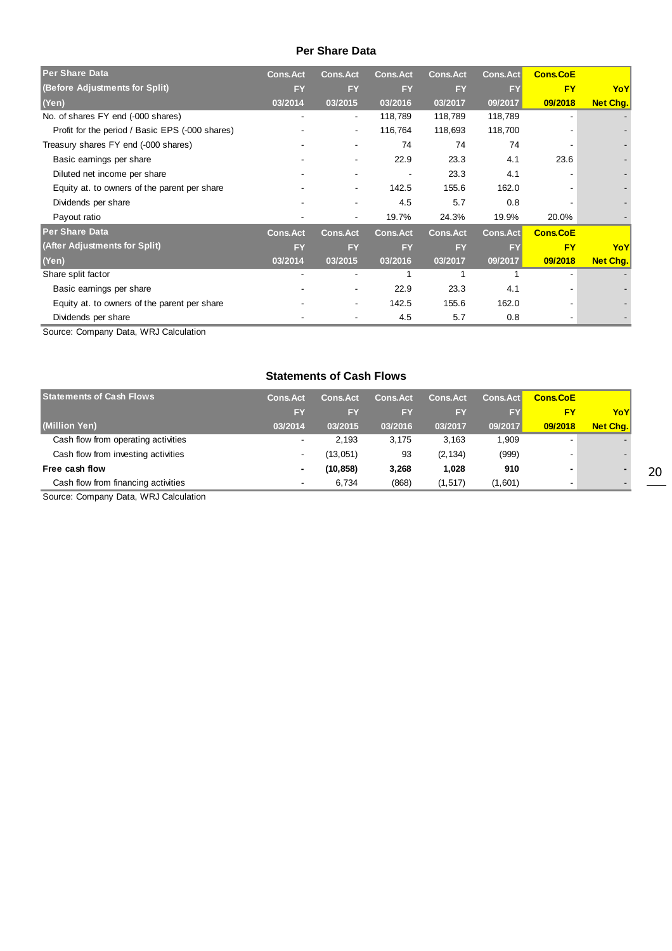#### **Per Share Data**

| <b>Per Share Data</b>                           | <b>Cons.Act</b>          | <b>Cons.Act</b>          | <b>Cons.Act</b> | <b>Cons.Act</b> | Cons.Act  | <b>Cons.CoE</b> |                 |
|-------------------------------------------------|--------------------------|--------------------------|-----------------|-----------------|-----------|-----------------|-----------------|
| (Before Adjustments for Split)                  | <b>FY</b>                | <b>FY</b>                | <b>FY</b>       | <b>FY</b>       | <b>FY</b> | <b>FY</b>       | YoY             |
| (Yen)                                           | 03/2014                  | 03/2015                  | 03/2016         | 03/2017         | 09/2017   | 09/2018         | Net Chg.        |
| No. of shares FY end (-000 shares)              | $\overline{\phantom{a}}$ | $\blacksquare$           | 118,789         | 118,789         | 118,789   |                 |                 |
| Profit for the period / Basic EPS (-000 shares) |                          | ۰                        | 116,764         | 118,693         | 118,700   |                 |                 |
| Treasury shares FY end (-000 shares)            |                          | ۰                        | 74              | 74              | 74        |                 |                 |
| Basic earnings per share                        |                          | ۰                        | 22.9            | 23.3            | 4.1       | 23.6            |                 |
| Diluted net income per share                    |                          |                          |                 | 23.3            | 4.1       |                 |                 |
| Equity at. to owners of the parent per share    |                          |                          | 142.5           | 155.6           | 162.0     |                 |                 |
| Dividends per share                             |                          |                          | 4.5             | 5.7             | 0.8       |                 |                 |
| Payout ratio                                    |                          |                          | 19.7%           | 24.3%           | 19.9%     | 20.0%           |                 |
| <b>Per Share Data</b>                           | <b>Cons.Act</b>          | <b>Cons.Act</b>          | <b>Cons.Act</b> | Cons.Act        | Cons.Act  | <b>Cons.CoE</b> |                 |
| (After Adjustments for Split)                   | <b>FY</b>                | <b>FY</b>                | <b>FY</b>       | <b>FY</b>       | <b>FY</b> | <b>FY</b>       | YoY             |
| (Yen)                                           | 03/2014                  | 03/2015                  | 03/2016         | 03/2017         | 09/2017   | 09/2018         | <b>Net Chg.</b> |
| Share split factor                              |                          | $\overline{\phantom{a}}$ |                 |                 |           |                 |                 |
| Basic earnings per share                        |                          | $\overline{\phantom{0}}$ | 22.9            | 23.3            | 4.1       |                 |                 |
| Equity at. to owners of the parent per share    |                          | ۰                        | 142.5           | 155.6           | 162.0     |                 |                 |
| Dividends per share                             |                          |                          | 4.5             | 5.7             | 0.8       |                 |                 |

Source: Company Data, WRJ Calculation

#### **Statements of Cash Flows**

| <b>Statements of Cash Flows</b>     | <b>Cons Act</b>          | <b>Cons.Act</b> | <b>Cons.Act</b> | <b>Cons.Act</b> | <b>Cons.Act</b> | <b>Cons.CoE</b> |          |
|-------------------------------------|--------------------------|-----------------|-----------------|-----------------|-----------------|-----------------|----------|
|                                     | FY                       | EY              | EY              | EY              | <b>FY</b>       | FΥ              | YoY      |
| (Million Yen)                       | 03/2014                  | 03/2015         | 03/2016         | 03/2017         | 09/2017         | 09/2018         | Net Cha. |
| Cash flow from operating activities | $\overline{\phantom{a}}$ | 2.193           | 3.175           | 3.163           | 1,909           |                 |          |
| Cash flow from investing activities | $\overline{\phantom{a}}$ | (13,051)        | 93              | (2, 134)        | (999)           |                 |          |
| Free cash flow                      |                          | (10, 858)       | 3,268           | 1.028           | 910             |                 |          |
| Cash flow from financing activities | $\overline{\phantom{a}}$ | 6.734           | (868)           | (1, 517)        | (1,601)         |                 |          |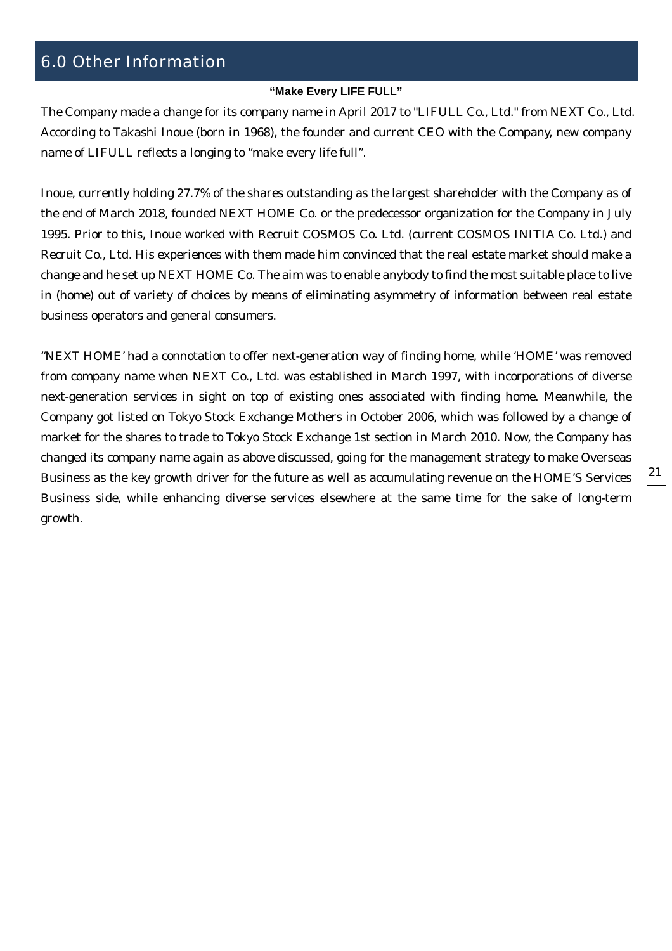## 6.0 Other Information

#### **"Make Every LIFE FULL"**

The Company made a change for its company name in April 2017 to "LIFULL Co., Ltd." from NEXT Co., Ltd. According to Takashi Inoue (born in 1968), the founder and current CEO with the Company, new company name of LIFULL reflects a longing to "make every life full".

Inoue, currently holding 27.7% of the shares outstanding as the largest shareholder with the Company as of the end of March 2018, founded NEXT HOME Co. or the predecessor organization for the Company in July 1995. Prior to this, Inoue worked with Recruit COSMOS Co. Ltd. (current COSMOS INITIA Co. Ltd.) and Recruit Co., Ltd. His experiences with them made him convinced that the real estate market should make a change and he set up NEXT HOME Co. The aim was to enable anybody to find the most suitable place to live in (home) out of variety of choices by means of eliminating asymmetry of information between real estate business operators and general consumers.

"NEXT HOME' had a connotation to offer next-generation way of finding home, while 'HOME' was removed from company name when NEXT Co., Ltd. was established in March 1997, with incorporations of diverse next-generation services in sight on top of existing ones associated with finding home. Meanwhile, the Company got listed on Tokyo Stock Exchange Mothers in October 2006, which was followed by a change of market for the shares to trade to Tokyo Stock Exchange 1st section in March 2010. Now, the Company has changed its company name again as above discussed, going for the management strategy to make Overseas Business as the key growth driver for the future as well as accumulating revenue on the HOME'S Services Business side, while enhancing diverse services elsewhere at the same time for the sake of long-term growth.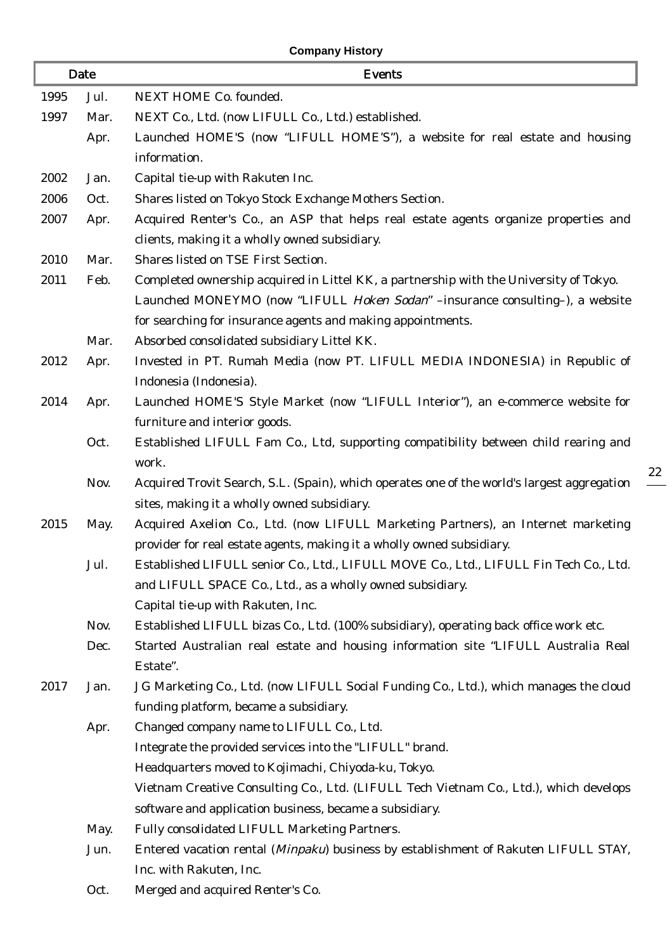## **Company History**

| Date |      | <b>Events</b>                                                                               |
|------|------|---------------------------------------------------------------------------------------------|
| 1995 | Jul. | NEXT HOME Co. founded.                                                                      |
| 1997 | Mar. | NEXT Co., Ltd. (now LIFULL Co., Ltd.) established.                                          |
|      | Apr. | Launched HOME'S (now "LIFULL HOME'S"), a website for real estate and housing                |
|      |      | information.                                                                                |
| 2002 | Jan. | Capital tie-up with Rakuten Inc.                                                            |
| 2006 | Oct. | Shares listed on Tokyo Stock Exchange Mothers Section.                                      |
| 2007 | Apr. | Acquired Renter's Co., an ASP that helps real estate agents organize properties and         |
|      |      | clients, making it a wholly owned subsidiary.                                               |
| 2010 | Mar. | Shares listed on TSE First Section.                                                         |
| 2011 | Feb. | Completed ownership acquired in Littel KK, a partnership with the University of Tokyo.      |
|      |      | Launched MONEYMO (now "LIFULL Hoken Sodan" -insurance consulting-), a website               |
|      |      | for searching for insurance agents and making appointments.                                 |
|      | Mar. | Absorbed consolidated subsidiary Littel KK.                                                 |
| 2012 | Apr. | Invested in PT. Rumah Media (now PT. LIFULL MEDIA INDONESIA) in Republic of                 |
|      |      | Indonesia (Indonesia).                                                                      |
| 2014 | Apr. | Launched HOME'S Style Market (now "LIFULL Interior"), an e-commerce website for             |
|      |      | furniture and interior goods.                                                               |
|      | Oct. | Established LIFULL Fam Co., Ltd, supporting compatibility between child rearing and         |
|      |      | work.                                                                                       |
|      | Nov. | Acquired Trovit Search, S.L. (Spain), which operates one of the world's largest aggregation |
|      |      | sites, making it a wholly owned subsidiary.                                                 |
| 2015 | May. | Acquired Axelion Co., Ltd. (now LIFULL Marketing Partners), an Internet marketing           |
|      |      | provider for real estate agents, making it a wholly owned subsidiary.                       |
|      | Jul. | Established LIFULL senior Co., Ltd., LIFULL MOVE Co., Ltd., LIFULL Fin Tech Co., Ltd.       |
|      |      | and LIFULL SPACE Co., Ltd., as a wholly owned subsidiary.                                   |
|      |      | Capital tie-up with Rakuten, Inc.                                                           |
|      | Nov. | Established LIFULL bizas Co., Ltd. (100% subsidiary), operating back office work etc.       |
|      | Dec. | Started Australian real estate and housing information site "LIFULL Australia Real          |
|      |      | Estate".                                                                                    |
| 2017 | Jan. | JG Marketing Co., Ltd. (now LIFULL Social Funding Co., Ltd.), which manages the cloud       |
|      |      | funding platform, became a subsidiary.                                                      |
|      | Apr. | Changed company name to LIFULL Co., Ltd.                                                    |
|      |      | Integrate the provided services into the "LIFULL" brand.                                    |
|      |      | Headquarters moved to Kojimachi, Chiyoda-ku, Tokyo.                                         |
|      |      | Vietnam Creative Consulting Co., Ltd. (LIFULL Tech Vietnam Co., Ltd.), which develops       |
|      |      | software and application business, became a subsidiary.                                     |
|      | May. | Fully consolidated LIFULL Marketing Partners.                                               |
|      | Jun. | Entered vacation rental (Minpaku) business by establishment of Rakuten LIFULL STAY,         |
|      |      | Inc. with Rakuten, Inc.                                                                     |
|      | Oct. | Merged and acquired Renter's Co.                                                            |